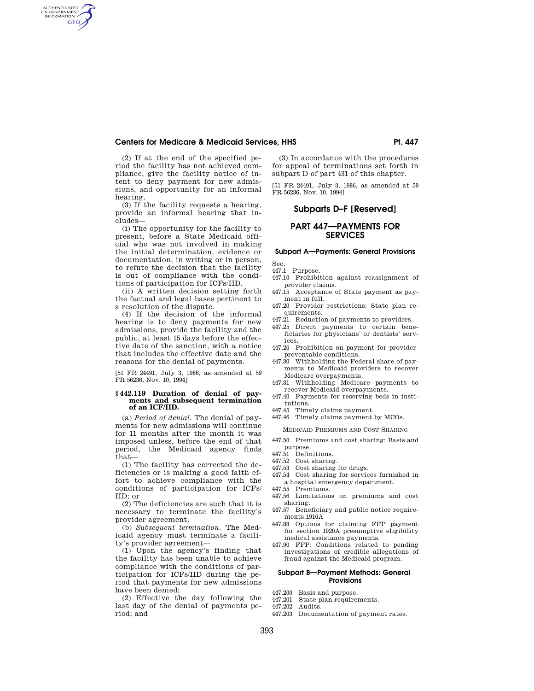(2) If at the end of the specified period the facility has not achieved compliance, give the facility notice of intent to deny payment for new admissions, and opportunity for an informal hearing.

AUTHENTICATED<br>U.S. GOVERNMENT<br>INFORMATION **GPO** 

> (3) If the facility requests a hearing, provide an informal hearing that includes—

> (i) The opportunity for the facility to present, before a State Medicaid official who was not involved in making the initial determination, evidence or documentation, in writing or in person, to refute the decision that the facility is out of compliance with the conditions of participation for ICFs/IID.

> (ii) A written decision setting forth the factual and legal bases pertinent to a resolution of the dispute.

> (4) If the decision of the informal hearing is to deny payments for new admissions, provide the facility and the public, at least 15 days before the effective date of the sanction, with a notice that includes the effective date and the reasons for the denial of payments.

> [51 FR 24491, July 3, 1986, as amended at 59 FR 56236, Nov. 10, 1994]

#### **§ 442.119 Duration of denial of payments and subsequent termination of an ICF/IID.**

(a) *Period of denial.* The denial of payments for new admissions will continue for 11 months after the month it was imposed unless, before the end of that period, the Medicaid agency finds that—

(1) The facility has corrected the deficiencies or is making a good faith effort to achieve compliance with the conditions of participation for ICFs/ IID; or

(2) The deficiencies are such that it is necessary to terminate the facility's provider agreement.

(b) *Subsequent termination.* The Medicaid agency must terminate a facility's provider agreement—

(1) Upon the agency's finding that the facility has been unable to achieve compliance with the conditions of participation for ICFs/IID during the period that payments for new admissions have been denied;

(2) Effective the day following the last day of the denial of payments period; and

(3) In accordance with the procedures for appeal of terminations set forth in subpart D of part 431 of this chapter.

[51 FR 24491, July 3, 1986, as amended at 59 FR 56236, Nov. 10, 1994]

# **Subparts D–F [Reserved]**

# **PART 447—PAYMENTS FOR SERVICES**

## **Subpart A—Payments: General Provisions**

Sec. 447.1 Purpose.

- 447.10 Prohibition against reassignment of provider claims.
- 447.15 Acceptance of State payment as payment in full.
- 447.20 Provider restrictions: State plan requirements.
- 447.21 Reduction of payments to providers.
- 447.25 Direct payments to certain beneficiaries for physicians' or dentists' services.
- 447.26 Prohibition on payment for providerpreventable conditions.
- 447.30 Withholding the Federal share of payments to Medicaid providers to recover Medicare overpayments.
- 447.31 Withholding Medicare payments to recover Medicaid overpayments.
- 447.40 Payments for reserving beds in institutions.
- 447.45 Timely claims payment.

447.46 Timely claims payment by MCOs.

- MEDICAID PREMIUMS AND COST SHARING
- 447.50 Premiums and cost sharing: Basis and purpose.
- 447.51 Definitions.
- 447.52 Cost sharing.
- 447.53 Cost sharing for drugs.
- 447.54 Cost sharing for services furnished in a hospital emergency department.
- 447.55 Premiums.
- 447.56 Limitations on premiums and cost sharing.
- 447.57 Beneficiary and public notice requirements.1916A
- 447.88 Options for claiming FFP payment for section 1920A presumptive eligibility medical assistance payments.
- 447.90 FFP: Conditions related to pending investigations of credible allegations of fraud against the Medicaid program.

#### **Subpart B—Payment Methods: General Provisions**

- 447.200 Basis and purpose.<br>447.201 State plan require
- State plan requirements.
- 447.202 Audits.<br>447.203 Docume
- Documentation of payment rates.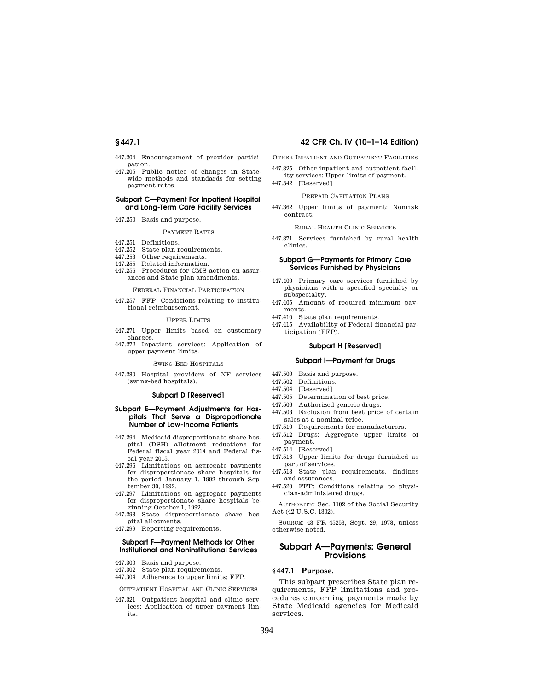- 447.204 Encouragement of provider participation.
- 447.205 Public notice of changes in Statewide methods and standards for setting payment rates.

## **Subpart C—Payment For Inpatient Hospital and Long-Term Care Facility Services**

447.250 Basis and purpose.

#### PAYMENT RATES

- 447.251 Definitions.
- 447.252 State plan requirements.
- 447.253 Other requirements.
- 447.255 Related information.
- 447.256 Procedures for CMS action on assurances and State plan amendments.

#### FEDERAL FINANCIAL PARTICIPATION

447.257 FFP: Conditions relating to institutional reimbursement.

#### UPPER LIMITS

- 447.271 Upper limits based on customary charges.
- 447.272 Inpatient services: Application of upper payment limits.

#### SWING-BED HOSPITALS

447.280 Hospital providers of NF services (swing-bed hospitals).

#### **Subpart D [Reserved]**

### **Subpart E—Payment Adjustments for Hospitals That Serve a Disproportionate Number of Low-Income Patients**

- 447.294 Medicaid disproportionate share hospital (DSH) allotment reductions for Federal fiscal year 2014 and Federal fiscal year 2015.
- 447.296 Limitations on aggregate payments for disproportionate share hospitals for the period January 1, 1992 through September 30, 1992.
- 447.297 Limitations on aggregate payments for disproportionate share hospitals beginning October 1, 1992.
- 447.298 State disproportionate share hospital allotments.
- 447.299 Reporting requirements.

## **Subpart F—Payment Methods for Other Institutional and Noninstitutional Services**

- 447.300 Basis and purpose.
- 447.302 State plan requirements.
- 447.304 Adherence to upper limits; FFP.

OUTPATIENT HOSPITAL AND CLINIC SERVICES

447.321 Outpatient hospital and clinic services: Application of upper payment limits.

# **§ 447.1 42 CFR Ch. IV (10–1–14 Edition)**

OTHER INPATIENT AND OUTPATIENT FACILITIES

- 447.325 Other inpatient and outpatient facil-
- ity services: Upper limits of payment.
- 447.342 [Reserved]

## PREPAID CAPITATION PLANS

447.362 Upper limits of payment: Nonrisk contract.

#### RURAL HEALTH CLINIC SERVICES

447.371 Services furnished by rural health clinics.

### **Subpart G—Payments for Primary Care Services Furnished by Physicians**

- 447.400 Primary care services furnished by physicians with a specified specialty or subspecialty.
- 447.405 Amount of required minimum payments.
- 447.410 State plan requirements.
- 447.415 Availability of Federal financial participation (FFP).

## **Subpart H [Reserved]**

## **Subpart I—Payment for Drugs**

- 447.500 Basis and purpose.
- 447.502 Definitions.
- 447.504 [Reserved]
- 447.505 Determination of best price.
- 447.506 Authorized generic drugs.
- 447.508 Exclusion from best price of certain sales at a nominal price.
- 447.510 Requirements for manufacturers.
- 447.512 Drugs: Aggregate upper limits of payment.
- 447.514 [Reserved]
- 447.516 Upper limits for drugs furnished as part of services.
- 447.518 State plan requirements, findings and assurances.
- 447.520 FFP: Conditions relating to physician-administered drugs.

AUTHORITY: Sec. 1102 of the Social Security Act (42 U.S.C. 1302).

SOURCE: 43 FR 45253, Sept. 29, 1978, unless otherwise noted.

## **Subpart A—Payments: General Provisions**

## **§ 447.1 Purpose.**

This subpart prescribes State plan requirements, FFP limitations and procedures concerning payments made by State Medicaid agencies for Medicaid services.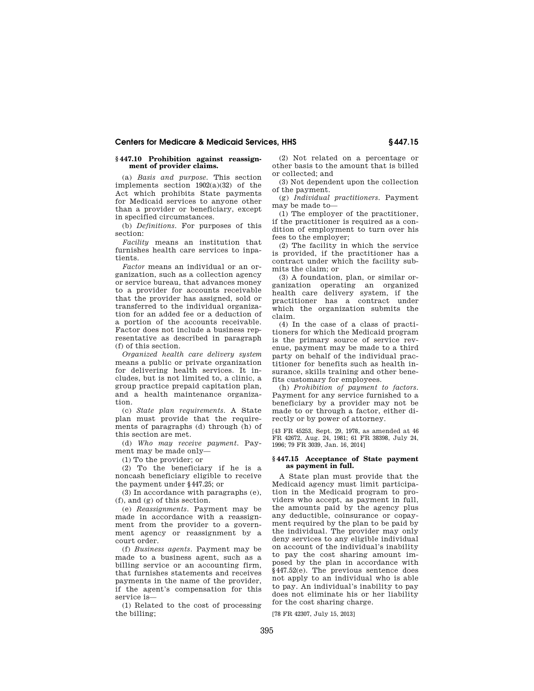## **§ 447.10 Prohibition against reassignment of provider claims.**

(a) *Basis and purpose.* This section implements section 1902(a)(32) of the Act which prohibits State payments for Medicaid services to anyone other than a provider or beneficiary, except in specified circumstances.

(b) *Definitions.* For purposes of this section:

*Facility* means an institution that furnishes health care services to inpatients.

*Factor* means an individual or an organization, such as a collection agency or service bureau, that advances money to a provider for accounts receivable that the provider has assigned, sold or transferred to the individual organization for an added fee or a deduction of a portion of the accounts receivable. Factor does not include a business representative as described in paragraph (f) of this section.

*Organized health care delivery system*  means a public or private organization for delivering health services. It includes, but is not limited to, a clinic, a group practice prepaid capitation plan, and a health maintenance organization.

(c) *State plan requirements.* A State plan must provide that the requirements of paragraphs (d) through (h) of this section are met.

(d) *Who may receive payment.* Payment may be made only—

(1) To the provider; or

(2) To the beneficiary if he is a noncash beneficiary eligible to receive the payment under §447.25; or

(3) In accordance with paragraphs (e), (f), and (g) of this section.

(e) *Reassignments.* Payment may be made in accordance with a reassignment from the provider to a government agency or reassignment by a court order.

(f) *Business agents.* Payment may be made to a business agent, such as a billing service or an accounting firm, that furnishes statements and receives payments in the name of the provider, if the agent's compensation for this service is—

(1) Related to the cost of processing the billing;

(2) Not related on a percentage or other basis to the amount that is billed or collected; and

(3) Not dependent upon the collection of the payment.

(g) *Individual practitioners.* Payment may be made to—

(1) The employer of the practitioner, if the practitioner is required as a condition of employment to turn over his fees to the employer;

(2) The facility in which the service is provided, if the practitioner has a contract under which the facility submits the claim; or

(3) A foundation, plan, or similar organization operating an organized health care delivery system, if the practitioner has a contract under which the organization submits the claim.

(4) In the case of a class of practitioners for which the Medicaid program is the primary source of service revenue, payment may be made to a third party on behalf of the individual practitioner for benefits such as health insurance, skills training and other benefits customary for employees.

(h) *Prohibition of payment to factors.*  Payment for any service furnished to a beneficiary by a provider may not be made to or through a factor, either directly or by power of attorney.

[43 FR 45253, Sept. 29, 1978, as amended at 46 FR 42672, Aug. 24, 1981; 61 FR 38398, July 24, 1996; 79 FR 3039, Jan. 16, 2014]

#### **§ 447.15 Acceptance of State payment as payment in full.**

A State plan must provide that the Medicaid agency must limit participation in the Medicaid program to providers who accept, as payment in full, the amounts paid by the agency plus any deductible, coinsurance or copayment required by the plan to be paid by the individual. The provider may only deny services to any eligible individual on account of the individual's inability to pay the cost sharing amount imposed by the plan in accordance with §447.52(e). The previous sentence does not apply to an individual who is able to pay. An individual's inability to pay does not eliminate his or her liability for the cost sharing charge.

[78 FR 42307, July 15, 2013]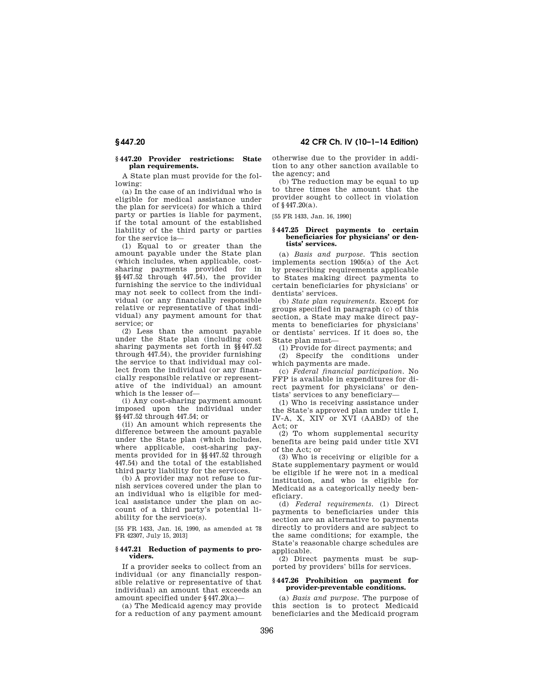## **§ 447.20 Provider restrictions: State plan requirements.**

A State plan must provide for the following:

(a) In the case of an individual who is eligible for medical assistance under the plan for service(s) for which a third party or parties is liable for payment, if the total amount of the established liability of the third party or parties for the service is—

(1) Equal to or greater than the amount payable under the State plan (which includes, when applicable, costsharing payments provided for in §§447.52 through 447.54), the provider furnishing the service to the individual may not seek to collect from the individual (or any financially responsible relative or representative of that individual) any payment amount for that service; or

(2) Less than the amount payable under the State plan (including cost sharing payments set forth in §§447.52 through 447.54), the provider furnishing the service to that individual may collect from the individual (or any financially responsible relative or representative of the individual) an amount which is the lesser of—

(i) Any cost-sharing payment amount imposed upon the individual under §§447.52 through 447.54; or

(ii) An amount which represents the difference between the amount payable under the State plan (which includes, where applicable, cost-sharing payments provided for in §§447.52 through 447.54) and the total of the established third party liability for the services.

(b) A provider may not refuse to furnish services covered under the plan to an individual who is eligible for medical assistance under the plan on account of a third party's potential liability for the service(s).

[55 FR 1433, Jan. 16, 1990, as amended at 78 FR 42307, July 15, 2013]

#### **§ 447.21 Reduction of payments to providers.**

If a provider seeks to collect from an individual (or any financially responsible relative or representative of that individual) an amount that exceeds an amount specified under §447.20(a)—

(a) The Medicaid agency may provide for a reduction of any payment amount

**§ 447.20 42 CFR Ch. IV (10–1–14 Edition)** 

otherwise due to the provider in addition to any other sanction available to the agency; and

(b) The reduction may be equal to up to three times the amount that the provider sought to collect in violation of §447.20(a).

[55 FR 1433, Jan. 16, 1990]

#### **§ 447.25 Direct payments to certain beneficiaries for physicians' or dentists' services.**

(a) *Basis and purpose.* This section implements section 1905(a) of the Act by prescribing requirements applicable to States making direct payments to certain beneficiaries for physicians' or dentists' services.

(b) *State plan requirements.* Except for groups specified in paragraph (c) of this section, a State may make direct payments to beneficiaries for physicians' or dentists' services. If it does so, the State plan must—

(1) Provide for direct payments; and

(2) Specify the conditions under which payments are made.

(c) *Federal financial participation.* No FFP is available in expenditures for direct payment for physicians' or dentists' services to any beneficiary—

(1) Who is receiving assistance under the State's approved plan under title I, IV-A, X, XIV or XVI (AABD) of the Act; or

(2) To whom supplemental security benefits are being paid under title XVI of the Act; or

(3) Who is receiving or eligible for a State supplementary payment or would be eligible if he were not in a medical institution, and who is eligible for Medicaid as a categorically needy beneficiary.

(d) *Federal requirements.* (1) Direct payments to beneficiaries under this section are an alternative to payments directly to providers and are subject to the same conditions; for example, the State's reasonable charge schedules are applicable.

(2) Direct payments must be supported by providers' bills for services.

### **§ 447.26 Prohibition on payment for provider-preventable conditions.**

(a) *Basis and purpose.* The purpose of this section is to protect Medicaid beneficiaries and the Medicaid program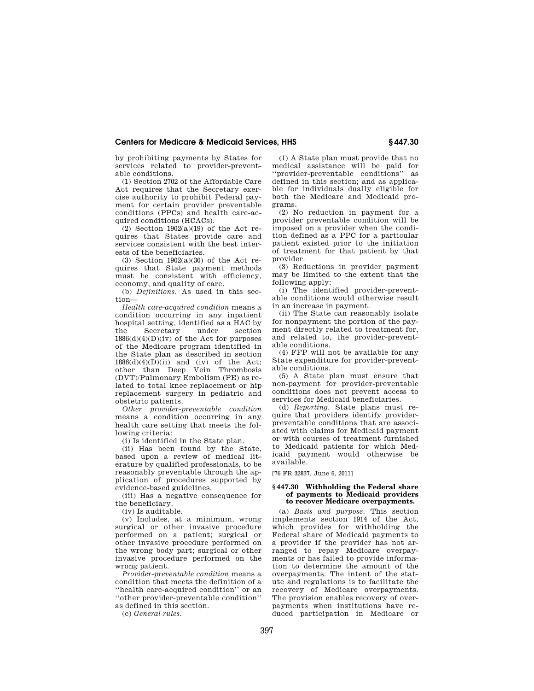by prohibiting payments by States for services related to provider-preventable conditions.

(1) Section 2702 of the Affordable Care Act requires that the Secretary exercise authority to prohibit Federal payment for certain provider preventable conditions (PPCs) and health care-acquired conditions (HCACs).

 $(2)$  Section 1902 $(a)(19)$  of the Act requires that States provide care and services consistent with the best interests of the beneficiaries.

(3) Section 1902(a)(30) of the Act requires that State payment methods must be consistent with efficiency, economy, and quality of care.

(b) *Definitions.* As used in this section—

*Health care-acquired condition* means a condition occurring in any inpatient hospital setting, identified as a HAC by the Secretary under section  $1886(d)(4)(D)(iv)$  of the Act for purposes of the Medicare program identified in the State plan as described in section  $1886(d)(4)(D)(ii)$  and (iv) of the Act; other than Deep Vein Thrombosis (DVT)/Pulmonary Embolism (PE) as related to total knee replacement or hip replacement surgery in pediatric and obstetric patients.

*Other provider-preventable condition*  means a condition occurring in any health care setting that meets the following criteria:

(i) Is identified in the State plan.

(ii) Has been found by the State, based upon a review of medical literature by qualified professionals, to be reasonably preventable through the application of procedures supported by evidence-based guidelines.

(iii) Has a negative consequence for the beneficiary.

(iv) Is auditable.

(v) Includes, at a minimum, wrong surgical or other invasive procedure performed on a patient; surgical or other invasive procedure performed on the wrong body part; surgical or other invasive procedure performed on the wrong patient.

*Provider-preventable condition* means a condition that meets the definition of a ''health care-acquired condition'' or an ''other provider-preventable condition'' as defined in this section.

(c) *General rules.* 

(1) A State plan must provide that no medical assistance will be paid for ''provider-preventable conditions'' as defined in this section; and as applicable for individuals dually eligible for both the Medicare and Medicaid programs.

(2) No reduction in payment for a provider preventable condition will be imposed on a provider when the condition defined as a PPC for a particular patient existed prior to the initiation of treatment for that patient by that provider.

(3) Reductions in provider payment may be limited to the extent that the following apply:

(i) The identified provider-preventable conditions would otherwise result in an increase in payment.

(ii) The State can reasonably isolate for nonpayment the portion of the payment directly related to treatment for, and related to, the provider-preventable conditions.

(4) FFP will not be available for any State expenditure for provider-preventable conditions.

(5) A State plan must ensure that non-payment for provider-preventable conditions does not prevent access to services for Medicaid beneficiaries.

(d) *Reporting.* State plans must require that providers identify providerpreventable conditions that are associated with claims for Medicaid payment or with courses of treatment furnished to Medicaid patients for which Medicaid payment would otherwise be available.

[76 FR 32837, June 6, 2011]

## **§ 447.30 Withholding the Federal share of payments to Medicaid providers to recover Medicare overpayments.**

(a) *Basis and purpose.* This section implements section 1914 of the Act, which provides for withholding the Federal share of Medicaid payments to a provider if the provider has not arranged to repay Medicare overpayments or has failed to provide information to determine the amount of the overpayments. The intent of the statute and regulations is to facilitate the recovery of Medicare overpayments. The provision enables recovery of overpayments when institutions have reduced participation in Medicare or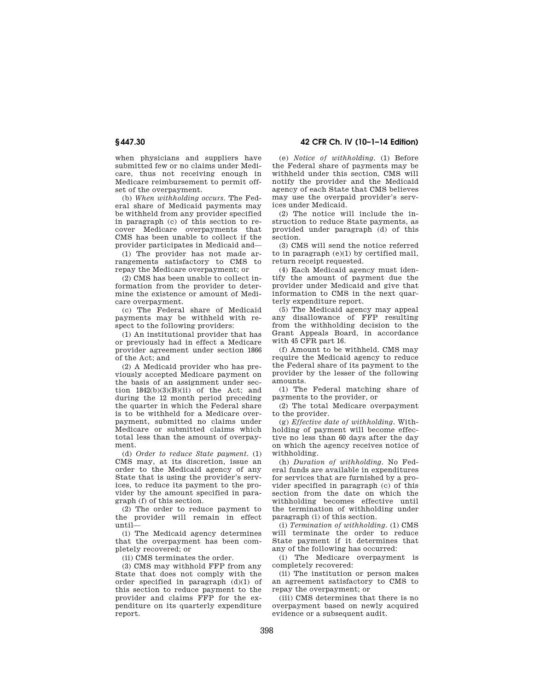when physicians and suppliers have submitted few or no claims under Medicare, thus not receiving enough in Medicare reimbursement to permit offset of the overpayment.

(b) *When withholding occurs.* The Federal share of Medicaid payments may be withheld from any provider specified in paragraph (c) of this section to recover Medicare overpayments that CMS has been unable to collect if the provider participates in Medicaid and—

(1) The provider has not made arrangements satisfactory to CMS to repay the Medicare overpayment; or

(2) CMS has been unable to collect information from the provider to determine the existence or amount of Medicare overpayment.

(c) The Federal share of Medicaid payments may be withheld with respect to the following providers:

(1) An institutional provider that has or previously had in effect a Medicare provider agreement under section 1866 of the Act; and

(2) A Medicaid provider who has previously accepted Medicare payment on the basis of an assignment under section  $1842(b)(3)(B)(ii)$  of the Act; and during the 12 month period preceding the quarter in which the Federal share is to be withheld for a Medicare overpayment, submitted no claims under Medicare or submitted claims which total less than the amount of overpayment.

(d) *Order to reduce State payment.* (1) CMS may, at its discretion, issue an order to the Medicaid agency of any State that is using the provider's services, to reduce its payment to the provider by the amount specified in paragraph (f) of this section.

(2) The order to reduce payment to the provider will remain in effect until—

(i) The Medicaid agency determines that the overpayment has been completely recovered; or

(ii) CMS terminates the order.

(3) CMS may withhold FFP from any State that does not comply with the order specified in paragraph (d)(1) of this section to reduce payment to the provider and claims FFP for the expenditure on its quarterly expenditure report.

**§ 447.30 42 CFR Ch. IV (10–1–14 Edition)** 

(e) *Notice of withholding.* (1) Before the Federal share of payments may be withheld under this section, CMS will notify the provider and the Medicaid agency of each State that CMS believes may use the overpaid provider's services under Medicaid.

(2) The notice will include the instruction to reduce State payments, as provided under paragraph (d) of this section.

(3) CMS will send the notice referred to in paragraph (e)(1) by certified mail, return receipt requested.

(4) Each Medicaid agency must identify the amount of payment due the provider under Medicaid and give that information to CMS in the next quarterly expenditure report.

(5) The Medicaid agency may appeal any disallowance of FFP resulting from the withholding decision to the Grant Appeals Board, in accordance with 45 CFR part 16.

(f) Amount to be withheld. CMS may require the Medicaid agency to reduce the Federal share of its payment to the provider by the lesser of the following amounts.

(1) The Federal matching share of payments to the provider, or

(2) The total Medicare overpayment to the provider.

(g) *Effective date of withholding.* Withholding of payment will become effective no less than 60 days after the day on which the agency receives notice of withholding.

(h) *Duration of withholding.* No Federal funds are available in expenditures for services that are furnished by a provider specified in paragraph (c) of this section from the date on which the withholding becomes effective until the termination of withholding under paragraph (i) of this section.

(i) *Termination of withholding.* (1) CMS will terminate the order to reduce State payment if it determines that any of the following has occurred:

(i) The Medicare overpayment is completely recovered:

(ii) The institution or person makes an agreement satisfactory to CMS to repay the overpayment; or

(iii) CMS determines that there is no overpayment based on newly acquired evidence or a subsequent audit.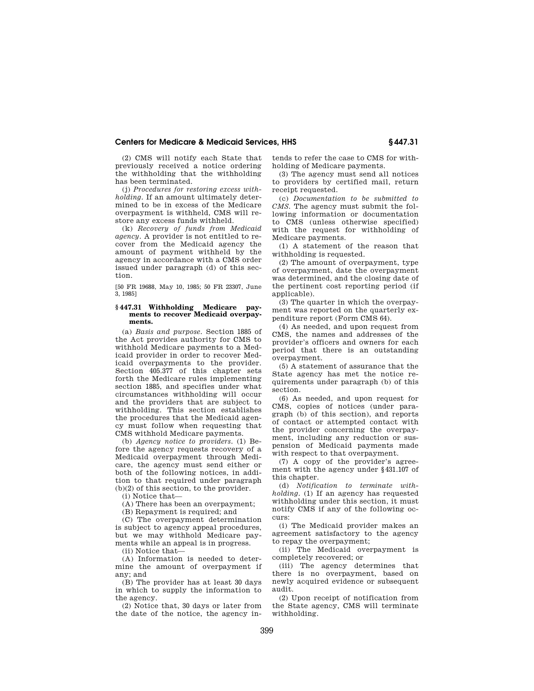(2) CMS will notify each State that previously received a notice ordering the withholding that the withholding has been terminated.

(j) *Procedures for restoring excess withholding.* If an amount ultimately determined to be in excess of the Medicare overpayment is withheld, CMS will restore any excess funds withheld.

(k) *Recovery of funds from Medicaid agency.* A provider is not entitled to recover from the Medicaid agency the amount of payment withheld by the agency in accordance with a CMS order issued under paragraph (d) of this section.

[50 FR 19688, May 10, 1985; 50 FR 23307, June 3, 1985]

#### **§ 447.31 Withholding Medicare payments to recover Medicaid overpayments.**

(a) *Basis and purpose.* Section 1885 of the Act provides authority for CMS to withhold Medicare payments to a Medicaid provider in order to recover Medicaid overpayments to the provider. Section 405.377 of this chapter sets forth the Medicare rules implementing section 1885, and specifies under what circumstances withholding will occur and the providers that are subject to withholding. This section establishes the procedures that the Medicaid agency must follow when requesting that CMS withhold Medicare payments.

(b) *Agency notice to providers.* (1) Before the agency requests recovery of a Medicaid overpayment through Medicare, the agency must send either or both of the following notices, in addition to that required under paragraph (b)(2) of this section, to the provider.

(i) Notice that—

(A) There has been an overpayment;

(B) Repayment is required; and

(C) The overpayment determination is subject to agency appeal procedures, but we may withhold Medicare payments while an appeal is in progress.

(ii) Notice that—

(A) Information is needed to determine the amount of overpayment if any; and

(B) The provider has at least 30 days in which to supply the information to the agency.

(2) Notice that, 30 days or later from the date of the notice, the agency in-

tends to refer the case to CMS for withholding of Medicare payments.

(3) The agency must send all notices to providers by certified mail, return receipt requested.

(c) *Documentation to be submitted to CMS.* The agency must submit the following information or documentation to CMS (unless otherwise specified) with the request for withholding of Medicare payments.

(1) A statement of the reason that withholding is requested.

(2) The amount of overpayment, type of overpayment, date the overpayment was determined, and the closing date of the pertinent cost reporting period (if applicable).

(3) The quarter in which the overpayment was reported on the quarterly expenditure report (Form CMS 64).

(4) As needed, and upon request from CMS, the names and addresses of the provider's officers and owners for each period that there is an outstanding overpayment.

(5) A statement of assurance that the State agency has met the notice requirements under paragraph (b) of this section.

(6) As needed, and upon request for CMS, copies of notices (under paragraph (b) of this section), and reports of contact or attempted contact with the provider concerning the overpayment, including any reduction or suspension of Medicaid payments made with respect to that overpayment.

(7) A copy of the provider's agreement with the agency under §431.107 of this chapter.

(d) *Notification to terminate withholding.* (1) If an agency has requested withholding under this section, it must notify CMS if any of the following occurs:

(i) The Medicaid provider makes an agreement satisfactory to the agency to repay the overpayment;

(ii) The Medicaid overpayment is completely recovered; or

(iii) The agency determines that there is no overpayment, based on newly acquired evidence or subsequent audit.

(2) Upon receipt of notification from the State agency, CMS will terminate withholding.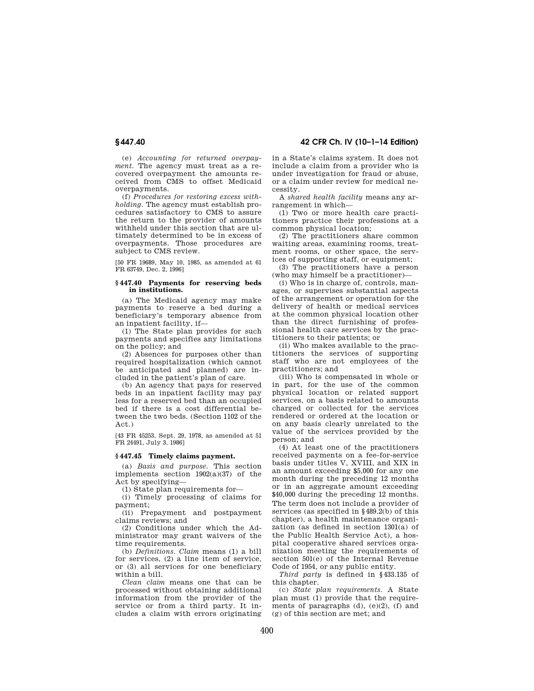**§ 447.40 42 CFR Ch. IV (10–1–14 Edition)** 

(e) *Accounting for returned overpayment.* The agency must treat as a recovered overpayment the amounts received from CMS to offset Medicaid overpayments.

(f) *Procedures for restoring excess withholding.* The agency must establish procedures satisfactory to CMS to assure the return to the provider of amounts withheld under this section that are ultimately determined to be in excess of overpayments. Those procedures are subject to CMS review.

[50 FR 19689, May 10, 1985, as amended at 61 FR 63749, Dec. 2, 1996]

#### **§ 447.40 Payments for reserving beds in institutions.**

(a) The Medicaid agency may make payments to reserve a bed during a beneficiary's temporary absence from an inpatient facility, if—

(1) The State plan provides for such payments and specifies any limitations on the policy; and

(2) Absences for purposes other than required hospitalization (which cannot be anticipated and planned) are included in the patient's plan of care.

(b) An agency that pays for reserved beds in an inpatient facility may pay less for a reserved bed than an occupied bed if there is a cost differential between the two beds. (Section 1102 of the Act.)

[43 FR 45253, Sept. 29, 1978, as amended at 51 FR 24491, July 3, 1986]

## **§ 447.45 Timely claims payment.**

(a) *Basis and purpose.* This section implements section 1902(a)(37) of the Act by specifying—

(1) State plan requirements for—

(i) Timely processing of claims for payment;

(ii) Prepayment and postpayment claims reviews; and

(2) Conditions under which the Administrator may grant waivers of the time requirements.

(b) *Definitions. Claim* means (1) a bill for services, (2) a line item of service, or (3) all services for one beneficiary within a bill.

*Clean claim* means one that can be processed without obtaining additional information from the provider of the service or from a third party. It includes a claim with errors originating in a State's claims system. It does not include a claim from a provider who is under investigation for fraud or abuse, or a claim under review for medical necessity.

A *shared health facility* means any arrangement in which—

(1) Two or more health care practitioners practice their professions at a common physical location;

(2) The practitioners share common waiting areas, examining rooms, treatment rooms, or other space, the services of supporting staff, or equipment;

(3) The practitioners have a person (who may himself be a practitioner)—

(i) Who is in charge of, controls, manages, or supervises substantial aspects of the arrangement or operation for the delivery of health or medical services at the common physical location other than the direct furnishing of professional health care services by the practitioners to their patients; or

(ii) Who makes available to the practitioners the services of supporting staff who are not employees of the practitioners; and

(iii) Who is compensated in whole or in part, for the use of the common physical location or related support services, on a basis related to amounts charged or collected for the services rendered or ordered at the location or on any basis clearly unrelated to the value of the services provided by the person; and

(4) At least one of the practitioners received payments on a fee-for-service basis under titles V, XVIII, and XIX in an amount exceeding \$5,000 for any one month during the preceding 12 months or in an aggregate amount exceeding \$40,000 during the preceding 12 months. The term does not include a provider of services (as specified in §489.2(b) of this chapter), a health maintenance organization (as defined in section 1301(a) of the Public Health Service Act), a hospital cooperative shared services organization meeting the requirements of section 501(e) of the Internal Revenue Code of 1954, or any public entity.

*Third party* is defined in §433.135 of this chapter.

(c) *State plan requirements.* A State plan must (1) provide that the requirements of paragraphs  $(d)$ ,  $(e)(2)$ ,  $(f)$  and (g) of this section are met; and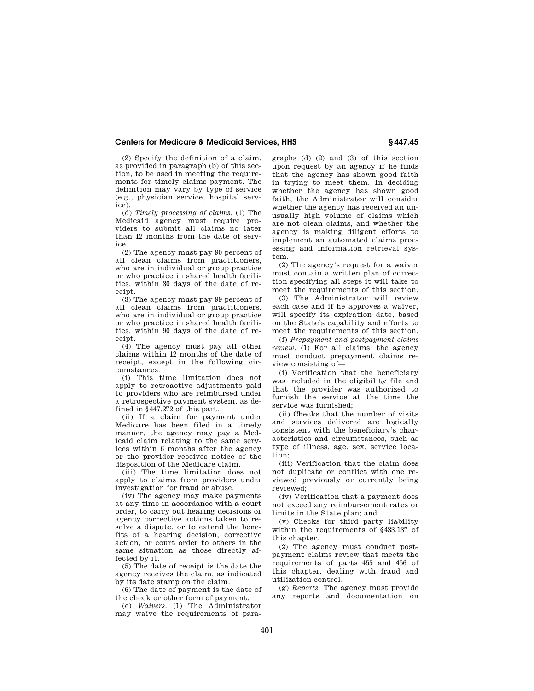(2) Specify the definition of a claim, as provided in paragraph (b) of this section, to be used in meeting the requirements for timely claims payment. The definition may vary by type of service (e.g., physician service, hospital service).

(d) *Timely processing of claims.* (1) The Medicaid agency must require providers to submit all claims no later than 12 months from the date of service.

(2) The agency must pay 90 percent of all clean claims from practitioners, who are in individual or group practice or who practice in shared health facilities, within 30 days of the date of receipt.

(3) The agency must pay 99 percent of all clean claims from practitioners, who are in individual or group practice or who practice in shared health facilities, within 90 days of the date of receipt.

(4) The agency must pay all other claims within 12 months of the date of receipt, except in the following circumstances:

(i) This time limitation does not apply to retroactive adjustments paid to providers who are reimbursed under a retrospective payment system, as defined in §447.272 of this part.

(ii) If a claim for payment under Medicare has been filed in a timely manner, the agency may pay a Medicaid claim relating to the same services within 6 months after the agency or the provider receives notice of the disposition of the Medicare claim.

(iii) The time limitation does not apply to claims from providers under investigation for fraud or abuse.

(iv) The agency may make payments at any time in accordance with a court order, to carry out hearing decisions or agency corrective actions taken to resolve a dispute, or to extend the benefits of a hearing decision, corrective action, or court order to others in the same situation as those directly affected by it.

(5) The date of receipt is the date the agency receives the claim, as indicated by its date stamp on the claim.

(6) The date of payment is the date of the check or other form of payment.

(e) *Waivers.* (1) The Administrator may waive the requirements of paragraphs (d) (2) and (3) of this section upon request by an agency if he finds that the agency has shown good faith in trying to meet them. In deciding whether the agency has shown good faith, the Administrator will consider whether the agency has received an unusually high volume of claims which are not clean claims, and whether the agency is making diligent efforts to implement an automated claims processing and information retrieval system.

(2) The agency's request for a waiver must contain a written plan of correction specifying all steps it will take to meet the requirements of this section.

(3) The Administrator will review each case and if he approves a waiver, will specify its expiration date, based on the State's capability and efforts to meet the requirements of this section.

(f) *Prepayment and postpayment claims review.* (1) For all claims, the agency must conduct prepayment claims review consisting of—

(i) Verification that the beneficiary was included in the eligibility file and that the provider was authorized to furnish the service at the time the service was furnished;

(ii) Checks that the number of visits and services delivered are logically consistent with the beneficiary's characteristics and circumstances, such as type of illness, age, sex, service location;

(iii) Verification that the claim does not duplicate or conflict with one reviewed previously or currently being reviewed;

(iv) Verification that a payment does not exceed any reimbursement rates or limits in the State plan; and

(v) Checks for third party liability within the requirements of §433.137 of this chapter.

(2) The agency must conduct postpayment claims review that meets the requirements of parts 455 and 456 of this chapter, dealing with fraud and utilization control.

(g) *Reports.* The agency must provide any reports and documentation on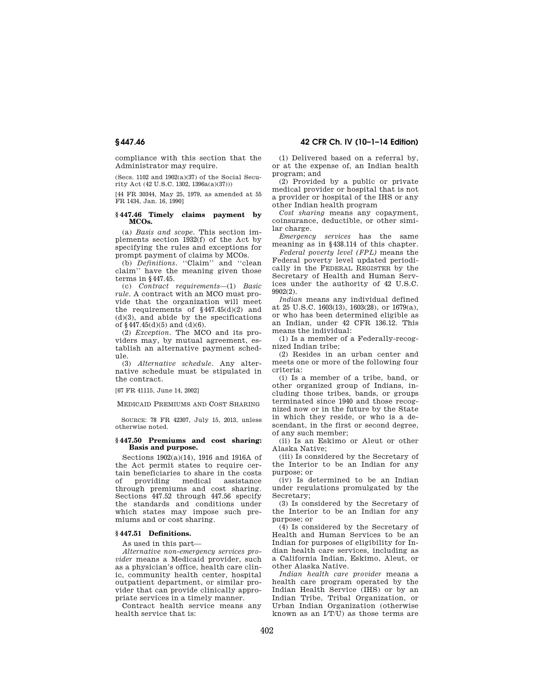compliance with this section that the Administrator may require.

(Secs. 1102 and 1902(a)(37) of the Social Security Act (42 U.S.C. 1302, 1396a(a)(37)))

[44 FR 30344, May 25, 1979, as amended at 55 FR 1434, Jan. 16, 1990]

## **§ 447.46 Timely claims payment by MCOs.**

(a) *Basis and scope.* This section implements section 1932(f) of the Act by specifying the rules and exceptions for prompt payment of claims by MCOs.

(b) *Definitions.* "Claim" and "clean claim'' have the meaning given those terms in §447.45.

(c) *Contract requirements*—(1) *Basic rule.* A contract with an MCO must provide that the organization will meet the requirements of  $§447.45(d)(2)$  and  $(d)(3)$ , and abide by the specifications of  $§447.45(d)(5)$  and  $(d)(6)$ .

(2) *Exception.* The MCO and its providers may, by mutual agreement, establish an alternative payment schedule.

(3) *Alternative schedule.* Any alternative schedule must be stipulated in the contract.

[67 FR 41115, June 14, 2002]

MEDICAID PREMIUMS AND COST SHARING

SOURCE: 78 FR 42307, July 15, 2013, unless otherwise noted.

### **§ 447.50 Premiums and cost sharing: Basis and purpose.**

Sections 1902(a)(14), 1916 and 1916A of the Act permit states to require certain beneficiaries to share in the costs of providing medical assistance through premiums and cost sharing. Sections 447.52 through 447.56 specify the standards and conditions under which states may impose such premiums and or cost sharing.

#### **§ 447.51 Definitions.**

As used in this part—

*Alternative non-emergency services provider* means a Medicaid provider, such as a physician's office, health care clinic, community health center, hospital outpatient department, or similar provider that can provide clinically appropriate services in a timely manner.

Contract health service means any health service that is:

(1) Delivered based on a referral by, or at the expense of, an Indian health program; and

(2) Provided by a public or private medical provider or hospital that is not a provider or hospital of the IHS or any other Indian health program

*Cost sharing* means any copayment, coinsurance, deductible, or other similar charge.

*Emergency services* has the same meaning as in §438.114 of this chapter.

*Federal poverty level (FPL)* means the Federal poverty level updated periodically in the FEDERAL REGISTER by the Secretary of Health and Human Services under the authority of 42 U.S.C. 9902(2).

*Indian* means any individual defined at 25 U.S.C. 1603(13), 1603(28), or 1679(a), or who has been determined eligible as an Indian, under 42 CFR 136.12. This means the individual:

(1) Is a member of a Federally-recognized Indian tribe;

(2) Resides in an urban center and meets one or more of the following four criteria:

(i) Is a member of a tribe, band, or other organized group of Indians, including those tribes, bands, or groups terminated since 1940 and those recognized now or in the future by the State in which they reside, or who is a descendant, in the first or second degree, of any such member;

(ii) Is an Eskimo or Aleut or other Alaska Native;

(iii) Is considered by the Secretary of the Interior to be an Indian for any purpose; or

(iv) Is determined to be an Indian under regulations promulgated by the Secretary;

(3) Is considered by the Secretary of the Interior to be an Indian for any purpose; or

(4) Is considered by the Secretary of Health and Human Services to be an Indian for purposes of eligibility for Indian health care services, including as a California Indian, Eskimo, Aleut, or other Alaska Native.

*Indian health care provider* means a health care program operated by the Indian Health Service (IHS) or by an Indian Tribe, Tribal Organization, or Urban Indian Organization (otherwise known as an  $I/T(U)$  as those terms are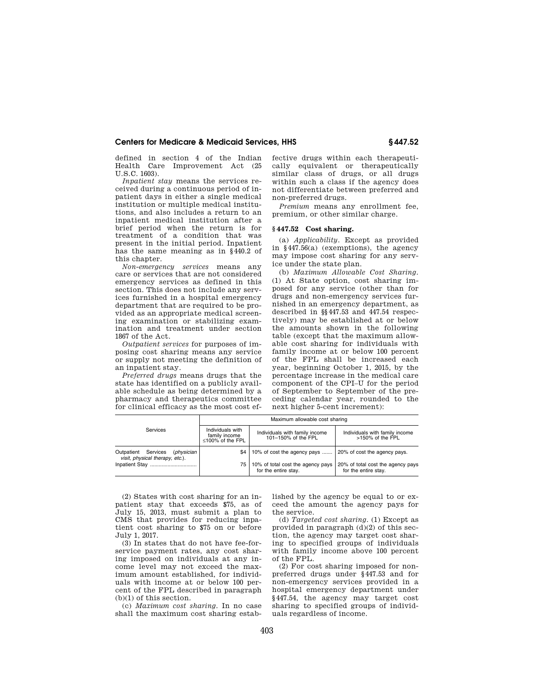defined in section 4 of the Indian Health Care Improvement Act (25 U.S.C. 1603).

*Inpatient stay* means the services received during a continuous period of inpatient days in either a single medical institution or multiple medical institutions, and also includes a return to an inpatient medical institution after a brief period when the return is for treatment of a condition that was present in the initial period. Inpatient has the same meaning as in §440.2 of this chapter.

*Non-emergency services* means any care or services that are not considered emergency services as defined in this section. This does not include any services furnished in a hospital emergency department that are required to be provided as an appropriate medical screening examination or stabilizing examination and treatment under section 1867 of the Act.

*Outpatient services* for purposes of imposing cost sharing means any service or supply not meeting the definition of an inpatient stay.

*Preferred drugs* means drugs that the state has identified on a publicly available schedule as being determined by a pharmacy and therapeutics committee for clinical efficacy as the most cost effective drugs within each therapeutically equivalent or therapeutically similar class of drugs, or all drugs within such a class if the agency does not differentiate between preferred and non-preferred drugs.

*Premium* means any enrollment fee, premium, or other similar charge.

## **§ 447.52 Cost sharing.**

(a) *Applicability.* Except as provided in §447.56(a) (exemptions), the agency may impose cost sharing for any service under the state plan.

(b) *Maximum Allowable Cost Sharing.*  (1) At State option, cost sharing imposed for any service (other than for drugs and non-emergency services furnished in an emergency department, as described in §§447.53 and 447.54 respectively) may be established at or below the amounts shown in the following table (except that the maximum allowable cost sharing for individuals with family income at or below 100 percent of the FPL shall be increased each year, beginning October 1, 2015, by the percentage increase in the medical care component of the CPI–U for the period of September to September of the preceding calendar year, rounded to the next higher 5-cent increment):

|                                                                         | Maximum allowable cost sharing                        |                                                           |                                                           |  |
|-------------------------------------------------------------------------|-------------------------------------------------------|-----------------------------------------------------------|-----------------------------------------------------------|--|
| <b>Services</b>                                                         | Individuals with<br>family income<br>≤100% of the FPL | Individuals with family income<br>101-150% of the FPL     | Individuals with family income<br>>150% of the FPL        |  |
| Services<br>Outpatient<br>(physician<br>visit, physical therapy, etc.). | \$4                                                   | 10% of cost the agency pays                               | 20% of cost the agency pays.                              |  |
| Inpatient Stay                                                          | 75                                                    | 10% of total cost the agency pays<br>for the entire stay. | 20% of total cost the agency pays<br>for the entire stav. |  |

(2) States with cost sharing for an inpatient stay that exceeds \$75, as of July 15, 2013, must submit a plan to CMS that provides for reducing inpatient cost sharing to \$75 on or before July 1, 2017.

(3) In states that do not have fee-forservice payment rates, any cost sharing imposed on individuals at any income level may not exceed the maximum amount established, for individuals with income at or below 100 percent of the FPL described in paragraph (b)(1) of this section.

(c) *Maximum cost sharing.* In no case shall the maximum cost sharing established by the agency be equal to or exceed the amount the agency pays for the service.

(d) *Targeted cost sharing.* (1) Except as provided in paragraph  $(d)(2)$  of this section, the agency may target cost sharing to specified groups of individuals with family income above 100 percent of the FPL.

(2) For cost sharing imposed for nonpreferred drugs under §447.53 and for non-emergency services provided in a hospital emergency department under §447.54, the agency may target cost sharing to specified groups of individuals regardless of income.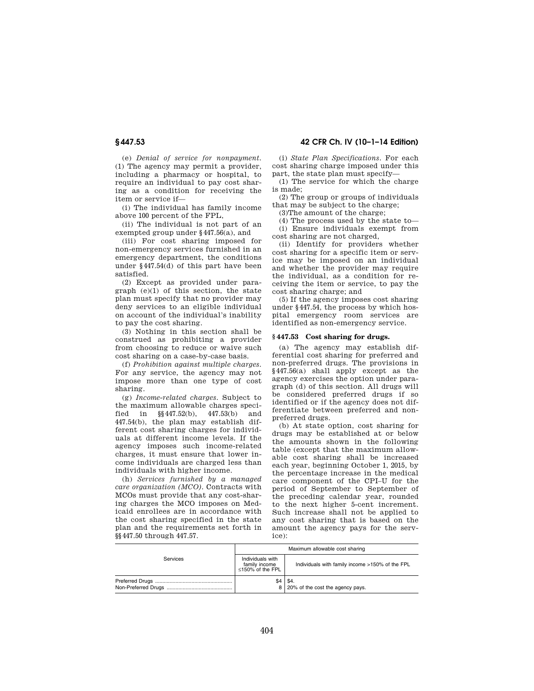(e) *Denial of service for nonpayment.*  (1) The agency may permit a provider, including a pharmacy or hospital, to require an individual to pay cost sharing as a condition for receiving the item or service if—

(i) The individual has family income above 100 percent of the FPL,

(ii) The individual is not part of an exempted group under §447.56(a), and

(iii) For cost sharing imposed for non-emergency services furnished in an emergency department, the conditions under §447.54(d) of this part have been satisfied.

(2) Except as provided under paragraph (e)(1) of this section, the state plan must specify that no provider may deny services to an eligible individual on account of the individual's inability to pay the cost sharing.

(3) Nothing in this section shall be construed as prohibiting a provider from choosing to reduce or waive such cost sharing on a case-by-case basis.

(f) *Prohibition against multiple charges.*  For any service, the agency may not impose more than one type of cost sharing.

(g) *Income-related charges.* Subject to the maximum allowable charges specified in §§447.52(b), 447.53(b) and 447.54(b), the plan may establish different cost sharing charges for individuals at different income levels. If the agency imposes such income-related charges, it must ensure that lower income individuals are charged less than individuals with higher income.

(h) *Services furnished by a managed care organization (MCO).* Contracts with MCOs must provide that any cost-sharing charges the MCO imposes on Medicaid enrollees are in accordance with the cost sharing specified in the state plan and the requirements set forth in §§447.50 through 447.57.

# **§ 447.53 42 CFR Ch. IV (10–1–14 Edition)**

(i) *State Plan Specifications.* For each cost sharing charge imposed under this part, the state plan must specify—

(1) The service for which the charge is made;

(2) The group or groups of individuals that may be subject to the charge;

(3)The amount of the charge;

(4) The process used by the state to— (i) Ensure individuals exempt from cost sharing are not charged,

(ii) Identify for providers whether cost sharing for a specific item or service may be imposed on an individual and whether the provider may require the individual, as a condition for receiving the item or service, to pay the cost sharing charge; and

(5) If the agency imposes cost sharing under §447.54, the process by which hospital emergency room services are identified as non-emergency service.

### **§ 447.53 Cost sharing for drugs.**

(a) The agency may establish differential cost sharing for preferred and non-preferred drugs. The provisions in §447.56(a) shall apply except as the agency exercises the option under paragraph (d) of this section. All drugs will be considered preferred drugs if so identified or if the agency does not differentiate between preferred and nonpreferred drugs.

(b) At state option, cost sharing for drugs may be established at or below the amounts shown in the following table (except that the maximum allowable cost sharing shall be increased each year, beginning October 1, 2015, by the percentage increase in the medical care component of the CPI–U for the period of September to September of the preceding calendar year, rounded to the next higher 5-cent increment. Such increase shall not be applied to any cost sharing that is based on the amount the agency pays for the service):

|          | Maximum allowable cost sharing                        |                                                 |  |
|----------|-------------------------------------------------------|-------------------------------------------------|--|
| Services | Individuals with<br>family income<br>≤150% of the FPL | Individuals with family income >150% of the FPL |  |
|          | \$4                                                   | \$4.<br>8   20% of the cost the agency pays.    |  |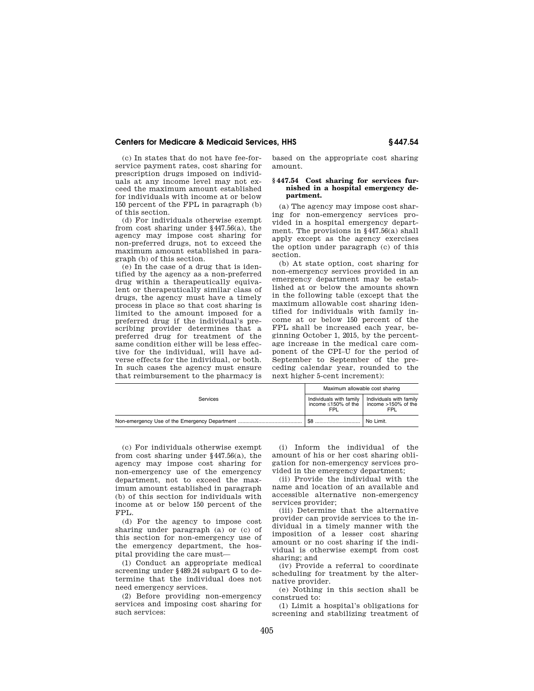(c) In states that do not have fee-forservice payment rates, cost sharing for prescription drugs imposed on individuals at any income level may not exceed the maximum amount established for individuals with income at or below 150 percent of the FPL in paragraph (b) of this section.

(d) For individuals otherwise exempt from cost sharing under §447.56(a), the agency may impose cost sharing for non-preferred drugs, not to exceed the maximum amount established in paragraph (b) of this section.

(e) In the case of a drug that is identified by the agency as a non-preferred drug within a therapeutically equivalent or therapeutically similar class of drugs, the agency must have a timely process in place so that cost sharing is limited to the amount imposed for a preferred drug if the individual's prescribing provider determines that a preferred drug for treatment of the same condition either will be less effective for the individual, will have adverse effects for the individual, or both. In such cases the agency must ensure that reimbursement to the pharmacy is based on the appropriate cost sharing amount.

## **§ 447.54 Cost sharing for services furnished in a hospital emergency department.**

(a) The agency may impose cost sharing for non-emergency services provided in a hospital emergency department. The provisions in §447.56(a) shall apply except as the agency exercises the option under paragraph (c) of this section.

(b) At state option, cost sharing for non-emergency services provided in an emergency department may be established at or below the amounts shown in the following table (except that the maximum allowable cost sharing identified for individuals with family income at or below 150 percent of the FPL shall be increased each year, beginning October 1, 2015, by the percentage increase in the medical care component of the CPI–U for the period of September to September of the preceding calendar year, rounded to the next higher 5-cent increment):

|                 | Maximum allowable cost sharing                                                   |                         |  |
|-----------------|----------------------------------------------------------------------------------|-------------------------|--|
| <b>Services</b> | Individuals with family<br>income $\leq$ 150% of the $\vert$ income >150% of the | Individuals with family |  |
|                 | \$8                                                                              | No Limit.               |  |

(c) For individuals otherwise exempt from cost sharing under  $§447.56(a)$ , the agency may impose cost sharing for non-emergency use of the emergency department, not to exceed the maximum amount established in paragraph (b) of this section for individuals with income at or below 150 percent of the FPL.

(d) For the agency to impose cost sharing under paragraph (a) or (c) of this section for non-emergency use of the emergency department, the hospital providing the care must—

(1) Conduct an appropriate medical screening under §489.24 subpart G to determine that the individual does not need emergency services.

(2) Before providing non-emergency services and imposing cost sharing for such services:

(i) Inform the individual of the amount of his or her cost sharing obligation for non-emergency services provided in the emergency department;

(ii) Provide the individual with the name and location of an available and accessible alternative non-emergency services provider;

(iii) Determine that the alternative provider can provide services to the individual in a timely manner with the imposition of a lesser cost sharing amount or no cost sharing if the individual is otherwise exempt from cost sharing; and

(iv) Provide a referral to coordinate scheduling for treatment by the alternative provider.

(e) Nothing in this section shall be construed to:

(1) Limit a hospital's obligations for screening and stabilizing treatment of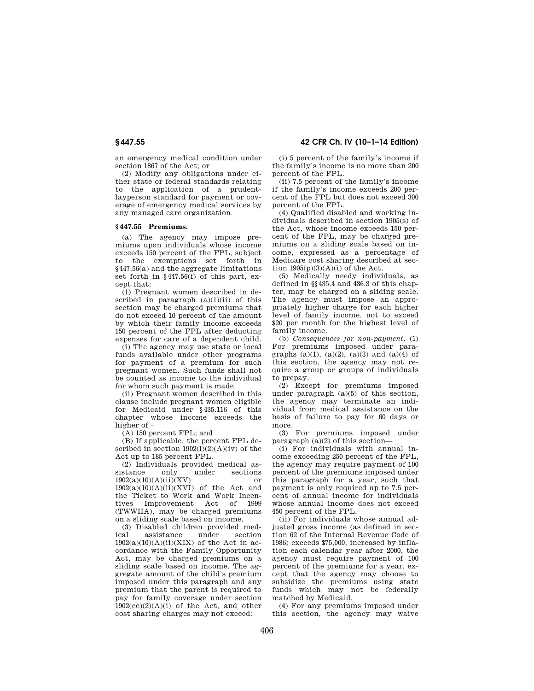an emergency medical condition under section 1867 of the Act; or

(2) Modify any obligations under either state or federal standards relating to the application of a prudentlayperson standard for payment or coverage of emergency medical services by any managed care organization.

#### **§ 447.55 Premiums.**

(a) The agency may impose premiums upon individuals whose income exceeds 150 percent of the FPL, subject to the exemptions set forth in §447.56(a) and the aggregate limitations set forth in §447.56(f) of this part, except that:

(1) Pregnant women described in described in paragraph  $(a)(1)(ii)$  of this section may be charged premiums that do not exceed 10 percent of the amount by which their family income exceeds 150 percent of the FPL after deducting expenses for care of a dependent child.

(i) The agency may use state or local funds available under other programs for payment of a premium for such pregnant women. Such funds shall not be counted as income to the individual for whom such payment is made.

(ii) Pregnant women described in this clause include pregnant women eligible for Medicaid under §435.116 of this chapter whose income exceeds the higher of –

(A) 150 percent FPL; and

(B) If applicable, the percent FPL described in section  $1902(1)(2)(A)(iv)$  of the Act up to 185 percent FPL.

(2) Individuals provided medical assistance only under sections  $1902(a)(10)(A)(ii)(XV)$  or  $1902(a)(10)(A)(ii)(XVI)$  of the Act and the Ticket to Work and Work Incentives Improvement (TWWIIA), may be charged premiums on a sliding scale based on income.

(3) Disabled children provided medassistance under  $1902(a)(10)(A)(ii)(XIX)$  of the Act in accordance with the Family Opportunity Act, may be charged premiums on a sliding scale based on income. The aggregate amount of the child's premium imposed under this paragraph and any premium that the parent is required to pay for family coverage under section  $1902(cc)(2)(A)(i)$  of the Act, and other cost sharing charges may not exceed:

(i) 5 percent of the family's income if the family's income is no more than 200 percent of the FPL.

(ii) 7.5 percent of the family's income if the family's income exceeds 200 percent of the FPL but does not exceed 300 percent of the FPL.

(4) Qualified disabled and working individuals described in section 1905(s) of the Act, whose income exceeds 150 percent of the FPL, may be charged premiums on a sliding scale based on income, expressed as a percentage of Medicare cost sharing described at section  $1905(p)(3)(A)(i)$  of the Act.

(5) Medically needy individuals, as defined in §§435.4 and 436.3 of this chapter, may be charged on a sliding scale. The agency must impose an appropriately higher charge for each higher level of family income, not to exceed \$20 per month for the highest level of family income.

(b) *Consequences for non-payment.* (1) For premiums imposed under paragraphs  $(a)(1)$ ,  $(a)(2)$ ,  $(a)(3)$  and  $(a)(4)$  of this section, the agency may not require a group or groups of individuals to prepay.

(2) Except for premiums imposed under paragraph  $(a)(5)$  of this section, the agency may terminate an individual from medical assistance on the basis of failure to pay for 60 days or more.

(3) For premiums imposed under paragraph  $(a)(2)$  of this section—

(i) For individuals with annual income exceeding 250 percent of the FPL, the agency may require payment of 100 percent of the premiums imposed under this paragraph for a year, such that payment is only required up to 7.5 percent of annual income for individuals whose annual income does not exceed 450 percent of the FPL.

(ii) For individuals whose annual adjusted gross income (as defined in section 62 of the Internal Revenue Code of 1986) exceeds \$75,000, increased by inflation each calendar year after 2000, the agency must require payment of 100 percent of the premiums for a year, except that the agency may choose to subsidize the premiums using state funds which may not be federally matched by Medicaid.

(4) For any premiums imposed under this section, the agency may waive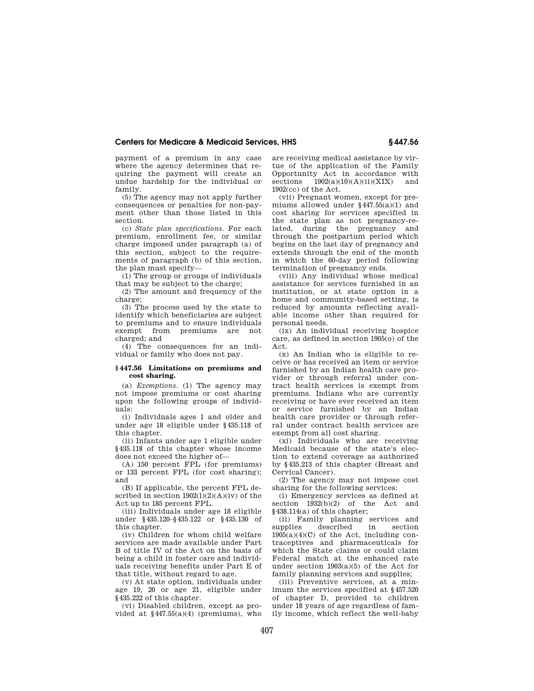payment of a premium in any case where the agency determines that requiring the payment will create an undue hardship for the individual or family.

(5) The agency may not apply further consequences or penalties for non-payment other than those listed in this section.

(c) *State plan specifications.* For each premium, enrollment fee, or similar charge imposed under paragraph (a) of this section, subject to the requirements of paragraph (b) of this section, the plan must specify—

(1) The group or groups of individuals that may be subject to the charge;

(2) The amount and frequency of the charge;

(3) The process used by the state to identify which beneficiaries are subject to premiums and to ensure individuals exempt from premiums are not charged; and

(4) The consequences for an individual or family who does not pay.

#### **§ 447.56 Limitations on premiums and cost sharing.**

(a) *Exemptions.* (1) The agency may not impose premiums or cost sharing upon the following groups of individuals:

(i) Individuals ages 1 and older and under age 18 eligible under §435.118 of this chapter.

(ii) Infants under age 1 eligible under §435.118 of this chapter whose income does not exceed the higher of—

(A) 150 percent FPL (for premiums) or 133 percent FPL (for cost sharing); and

(B) If applicable, the percent FPL described in section  $1902(1)(2)(A)(iv)$  of the Act up to 185 percent FPL.

(iii) Individuals under age 18 eligible under §435.120–§435.122 or §435.130 of this chapter.

(iv) Children for whom child welfare services are made available under Part B of title IV of the Act on the basis of being a child in foster care and individuals receiving benefits under Part E of that title, without regard to age.

(v) At state option, individuals under age 19, 20 or age 21, eligible under §435.222 of this chapter.

(vi) Disabled children, except as provided at §447.55(a)(4) (premiums), who are receiving medical assistance by virtue of the application of the Family Opportunity Act in accordance with sections  $1902(a)(10)(A)(ii)(XIX)$  and 1902(cc) of the Act.

(vii) Pregnant women, except for premiums allowed under  $§447.55(a)(1)$  and cost sharing for services specified in the state plan as not pregnancy-related, during the pregnancy and through the postpartum period which begins on the last day of pregnancy and extends through the end of the month in which the 60-day period following termination of pregnancy ends.

(viii) Any individual whose medical assistance for services furnished in an institution, or at state option in a home and community-based setting, is reduced by amounts reflecting available income other than required for personal needs.

(ix) An individual receiving hospice care, as defined in section 1905(o) of the Act.

(x) An Indian who is eligible to receive or has received an item or service furnished by an Indian health care provider or through referral under contract health services is exempt from premiums. Indians who are currently receiving or have ever received an item or service furnished by an Indian health care provider or through referral under contract health services are exempt from all cost sharing.

(xi) Individuals who are receiving Medicaid because of the state's election to extend coverage as authorized by §435.213 of this chapter (Breast and Cervical Cancer).

(2) The agency may not impose cost sharing for the following services:

(i) Emergency services as defined at section 1932(b)(2) of the Act and §438.114(a) of this chapter;

(ii) Family planning services and<br>supplies described in section described  $1905(a)(4)(C)$  of the Act, including contraceptives and pharmaceuticals for which the State claims or could claim Federal match at the enhanced rate under section  $1903(a)(5)$  of the Act for family planning services and supplies;

(iii) Preventive services, at a minimum the services specified at §457.520 of chapter D, provided to children under 18 years of age regardless of family income, which reflect the well-baby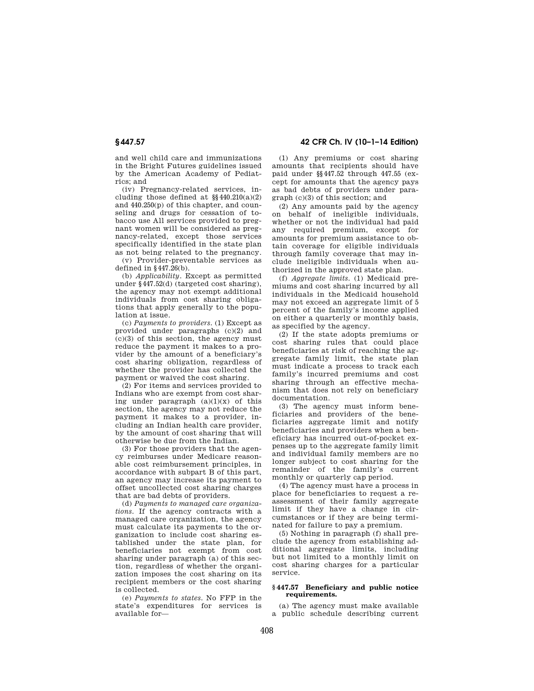and well child care and immunizations in the Bright Futures guidelines issued by the American Academy of Pediatrics; and

(iv) Pregnancy-related services, including those defined at §§440.210(a)(2) and 440.250(p) of this chapter, and counseling and drugs for cessation of tobacco use All services provided to pregnant women will be considered as pregnancy-related, except those services specifically identified in the state plan as not being related to the pregnancy.

(v) Provider-preventable services as defined in  $8447.26(b)$ .

(b) *Applicability.* Except as permitted under §447.52(d) (targeted cost sharing), the agency may not exempt additional individuals from cost sharing obligations that apply generally to the population at issue.

(c) *Payments to providers.* (1) Except as provided under paragraphs (c)(2) and  $(c)(3)$  of this section, the agency must reduce the payment it makes to a provider by the amount of a beneficiary's cost sharing obligation, regardless of whether the provider has collected the payment or waived the cost sharing.

(2) For items and services provided to Indians who are exempt from cost sharing under paragraph  $(a)(1)(x)$  of this section, the agency may not reduce the payment it makes to a provider, including an Indian health care provider, by the amount of cost sharing that will otherwise be due from the Indian.

(3) For those providers that the agency reimburses under Medicare reasonable cost reimbursement principles, in accordance with subpart B of this part, an agency may increase its payment to offset uncollected cost sharing charges that are bad debts of providers.

(d) *Payments to managed care organizations.* If the agency contracts with a managed care organization, the agency must calculate its payments to the organization to include cost sharing established under the state plan, for beneficiaries not exempt from cost sharing under paragraph (a) of this section, regardless of whether the organization imposes the cost sharing on its recipient members or the cost sharing is collected.

(e) *Payments to states.* No FFP in the state's expenditures for services is available for—

**§ 447.57 42 CFR Ch. IV (10–1–14 Edition)** 

(1) Any premiums or cost sharing amounts that recipients should have paid under §§447.52 through 447.55 (except for amounts that the agency pays as bad debts of providers under paragraph (c)(3) of this section; and

(2) Any amounts paid by the agency on behalf of ineligible individuals, whether or not the individual had paid any required premium, except for amounts for premium assistance to obtain coverage for eligible individuals through family coverage that may include ineligible individuals when authorized in the approved state plan.

(f) *Aggregate limits.* (1) Medicaid premiums and cost sharing incurred by all individuals in the Medicaid household may not exceed an aggregate limit of 5 percent of the family's income applied on either a quarterly or monthly basis, as specified by the agency.

(2) If the state adopts premiums or cost sharing rules that could place beneficiaries at risk of reaching the aggregate family limit, the state plan must indicate a process to track each family's incurred premiums and cost sharing through an effective mechanism that does not rely on beneficiary documentation.

(3) The agency must inform beneficiaries and providers of the beneficiaries aggregate limit and notify beneficiaries and providers when a beneficiary has incurred out-of-pocket expenses up to the aggregate family limit and individual family members are no longer subject to cost sharing for the remainder of the family's current monthly or quarterly cap period.

(4) The agency must have a process in place for beneficiaries to request a reassessment of their family aggregate limit if they have a change in circumstances or if they are being terminated for failure to pay a premium.

(5) Nothing in paragraph (f) shall preclude the agency from establishing additional aggregate limits, including but not limited to a monthly limit on cost sharing charges for a particular service.

#### **§ 447.57 Beneficiary and public notice requirements.**

(a) The agency must make available a public schedule describing current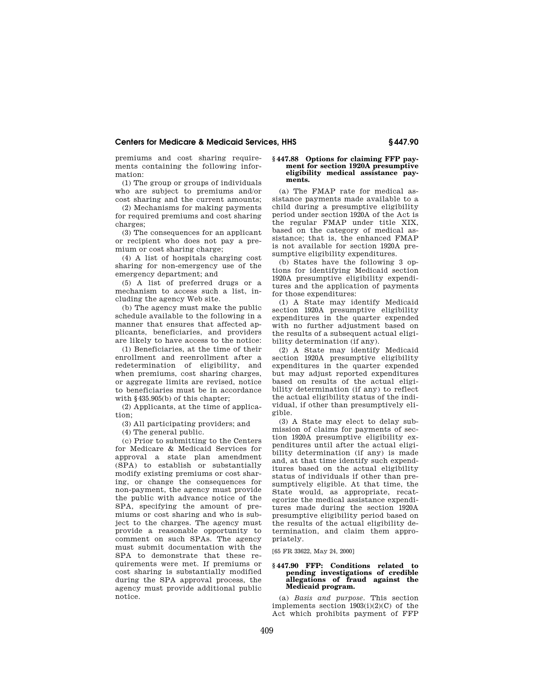premiums and cost sharing requirements containing the following information:

(1) The group or groups of individuals who are subject to premiums and/or cost sharing and the current amounts;

(2) Mechanisms for making payments for required premiums and cost sharing charges;

(3) The consequences for an applicant or recipient who does not pay a premium or cost sharing charge;

(4) A list of hospitals charging cost sharing for non-emergency use of the emergency department; and

(5) A list of preferred drugs or a mechanism to access such a list, including the agency Web site.

(b) The agency must make the public schedule available to the following in a manner that ensures that affected applicants, beneficiaries, and providers are likely to have access to the notice:

(1) Beneficiaries, at the time of their enrollment and reenrollment after a redetermination of eligibility, and when premiums, cost sharing charges, or aggregate limits are revised, notice to beneficiaries must be in accordance with §435.905(b) of this chapter;

(2) Applicants, at the time of application;

(3) All participating providers; and

(4) The general public.

(c) Prior to submitting to the Centers for Medicare & Medicaid Services for approval a state plan amendment (SPA) to establish or substantially modify existing premiums or cost sharing, or change the consequences for non-payment, the agency must provide the public with advance notice of the SPA, specifying the amount of premiums or cost sharing and who is subject to the charges. The agency must provide a reasonable opportunity to comment on such SPAs. The agency must submit documentation with the SPA to demonstrate that these requirements were met. If premiums or cost sharing is substantially modified during the SPA approval process, the agency must provide additional public notice.

#### **§ 447.88 Options for claiming FFP payment for section 1920A presumptive eligibility medical assistance payments.**

(a) The FMAP rate for medical assistance payments made available to a child during a presumptive eligibility period under section 1920A of the Act is the regular FMAP under title XIX, based on the category of medical assistance; that is, the enhanced FMAP is not available for section 1920A presumptive eligibility expenditures.

(b) States have the following 3 options for identifying Medicaid section 1920A presumptive eligibility expenditures and the application of payments for those expenditures:

(1) A State may identify Medicaid section 1920A presumptive eligibility expenditures in the quarter expended with no further adjustment based on the results of a subsequent actual eligibility determination (if any).

(2) A State may identify Medicaid section 1920A presumptive eligibility expenditures in the quarter expended but may adjust reported expenditures based on results of the actual eligibility determination (if any) to reflect the actual eligibility status of the individual, if other than presumptively eligible.

(3) A State may elect to delay submission of claims for payments of section 1920A presumptive eligibility expenditures until after the actual eligibility determination (if any) is made and, at that time identify such expenditures based on the actual eligibility status of individuals if other than presumptively eligible. At that time, the State would, as appropriate, recategorize the medical assistance expenditures made during the section 1920A presumptive eligibility period based on the results of the actual eligibility determination, and claim them appropriately.

[65 FR 33622, May 24, 2000]

### **§ 447.90 FFP: Conditions related to pending investigations of credible allegations of fraud against the Medicaid program.**

(a) *Basis and purpose.* This section implements section 1903(i)(2)(C) of the Act which prohibits payment of FFP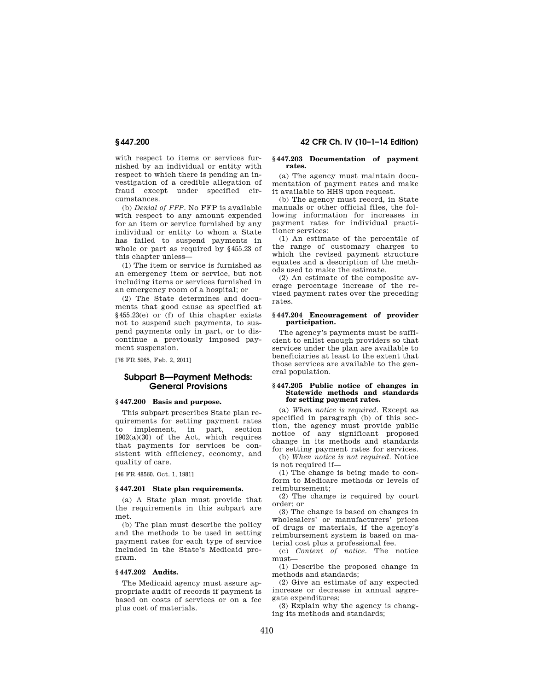with respect to items or services furnished by an individual or entity with respect to which there is pending an investigation of a credible allegation of fraud except under specified circumstances.

(b) *Denial of FFP.* No FFP is available with respect to any amount expended for an item or service furnished by any individual or entity to whom a State has failed to suspend payments in whole or part as required by §455.23 of this chapter unless—

(1) The item or service is furnished as an emergency item or service, but not including items or services furnished in an emergency room of a hospital; or

(2) The State determines and documents that good cause as specified at §455.23(e) or (f) of this chapter exists not to suspend such payments, to suspend payments only in part, or to discontinue a previously imposed payment suspension.

[76 FR 5965, Feb. 2, 2011]

# **Subpart B—Payment Methods: General Provisions**

## **§ 447.200 Basis and purpose.**

This subpart prescribes State plan requirements for setting payment rates to implement, in part, section 1902(a)(30) of the Act, which requires that payments for services be consistent with efficiency, economy, and quality of care.

[46 FR 48560, Oct. 1, 1981]

## **§ 447.201 State plan requirements.**

(a) A State plan must provide that the requirements in this subpart are met.

(b) The plan must describe the policy and the methods to be used in setting payment rates for each type of service included in the State's Medicaid program.

# **§ 447.202 Audits.**

The Medicaid agency must assure appropriate audit of records if payment is based on costs of services or on a fee plus cost of materials.

# **§ 447.200 42 CFR Ch. IV (10–1–14 Edition)**

#### **§ 447.203 Documentation of payment rates.**

(a) The agency must maintain documentation of payment rates and make it available to HHS upon request.

(b) The agency must record, in State manuals or other official files, the following information for increases in payment rates for individual practitioner services:

(1) An estimate of the percentile of the range of customary charges to which the revised payment structure equates and a description of the methods used to make the estimate.

(2) An estimate of the composite average percentage increase of the revised payment rates over the preceding rates.

### **§ 447.204 Encouragement of provider participation.**

The agency's payments must be sufficient to enlist enough providers so that services under the plan are available to beneficiaries at least to the extent that those services are available to the general population.

### **§ 447.205 Public notice of changes in Statewide methods and standards for setting payment rates.**

(a) *When notice is required.* Except as specified in paragraph (b) of this section, the agency must provide public notice of any significant proposed change in its methods and standards for setting payment rates for services.

(b) *When notice is not required.* Notice is not required if—

(1) The change is being made to conform to Medicare methods or levels of reimbursement;

(2) The change is required by court order; or

(3) The change is based on changes in wholesalers' or manufacturers' prices of drugs or materials, if the agency's reimbursement system is based on material cost plus a professional fee.

(c) *Content of notice.* The notice must—

(1) Describe the proposed change in methods and standards;

(2) Give an estimate of any expected increase or decrease in annual aggregate expenditures;

(3) Explain why the agency is changing its methods and standards;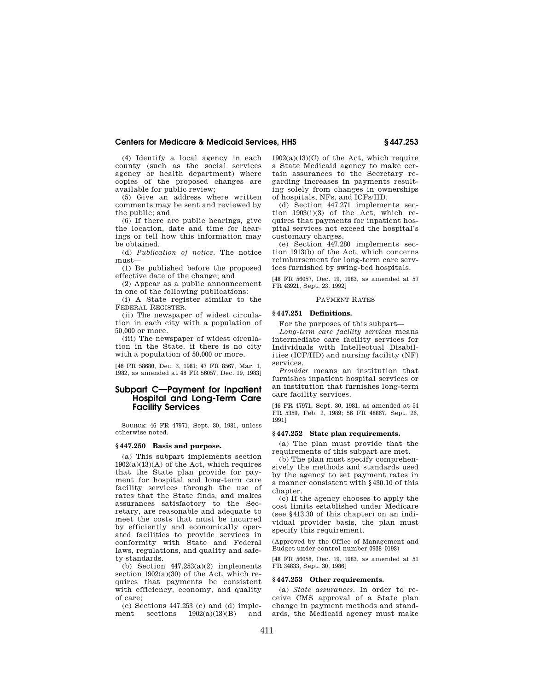(4) Identify a local agency in each county (such as the social services agency or health department) where copies of the proposed changes are available for public review;

(5) Give an address where written comments may be sent and reviewed by the public; and

(6) If there are public hearings, give the location, date and time for hearings or tell how this information may be obtained.

(d) *Publication of notice.* The notice must—

(1) Be published before the proposed effective date of the change; and

(2) Appear as a public announcement in one of the following publications:

(i) A State register similar to the FEDERAL REGISTER.

(ii) The newspaper of widest circulation in each city with a population of 50,000 or more.

(iii) The newspaper of widest circulation in the State, if there is no city with a population of 50,000 or more.

[46 FR 58680, Dec. 3, 1981; 47 FR 8567, Mar. 1, 1982, as amended at 48 FR 56057, Dec. 19, 1983]

# **Subpart C—Payment for Inpatient Hospital and Long-Term Care Facility Services**

SOURCE: 46 FR 47971, Sept. 30, 1981, unless otherwise noted.

#### **§ 447.250 Basis and purpose.**

(a) This subpart implements section  $1902(a)(13)(A)$  of the Act, which requires that the State plan provide for payment for hospital and long-term care facility services through the use of rates that the State finds, and makes assurances satisfactory to the Secretary, are reasonable and adequate to meet the costs that must be incurred by efficiently and economically operated facilities to provide services in conformity with State and Federal laws, regulations, and quality and safety standards.

(b) Section  $447.253(a)(2)$  implements section  $1902(a)(30)$  of the Act, which requires that payments be consistent with efficiency, economy, and quality of care;

(c) Sections  $447.253$  (c) and (d) imple-<br>ment sections  $1902(a)(13)(B)$  and  $1902(a)(13)(B)$ 

 $1902(a)(13)(C)$  of the Act, which require a State Medicaid agency to make certain assurances to the Secretary regarding increases in payments resulting solely from changes in ownerships of hospitals, NFs, and ICFs/IID.

(d) Section 447.271 implements section 1903(i)(3) of the Act, which requires that payments for inpatient hospital services not exceed the hospital's customary charges.

(e) Section 447.280 implements section 1913(b) of the Act, which concerns reimbursement for long-term care services furnished by swing-bed hospitals.

[48 FR 56057, Dec. 19, 1983, as amended at 57 FR 43921, Sept. 23, 1992]

## PAYMENT RATES

#### **§ 447.251 Definitions.**

For the purposes of this subpart—

*Long-term care facility services* means intermediate care facility services for Individuals with Intellectual Disabilities (ICF/IID) and nursing facility (NF) services.

*Provider* means an institution that furnishes inpatient hospital services or an institution that furnishes long-term care facility services.

[46 FR 47971, Sept. 30, 1981, as amended at 54 FR 5359, Feb. 2, 1989; 56 FR 48867, Sept. 26, 1991]

## **§ 447.252 State plan requirements.**

(a) The plan must provide that the requirements of this subpart are met.

(b) The plan must specify comprehensively the methods and standards used by the agency to set payment rates in a manner consistent with §430.10 of this chapter.

(c) If the agency chooses to apply the cost limits established under Medicare (see §413.30 of this chapter) on an individual provider basis, the plan must specify this requirement.

(Approved by the Office of Management and Budget under control number 0938–0193)

[48 FR 56058, Dec. 19, 1983, as amended at 51 FR 34833, Sept. 30, 1986]

## **§ 447.253 Other requirements.**

(a) *State assurances.* In order to receive CMS approval of a State plan change in payment methods and standards, the Medicaid agency must make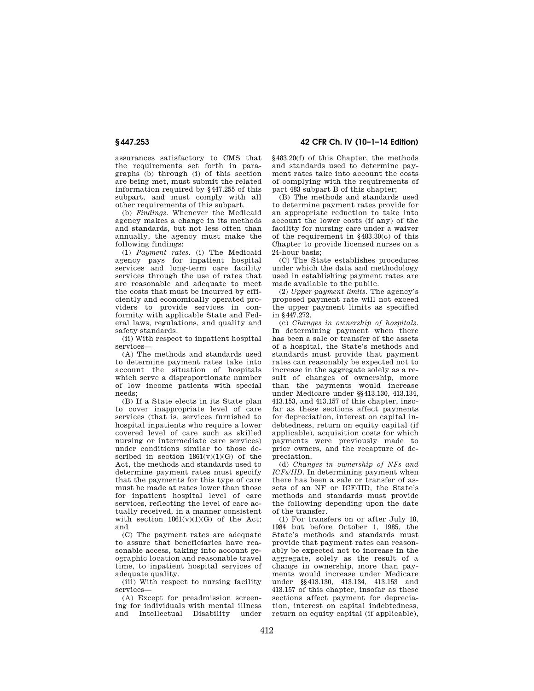assurances satisfactory to CMS that the requirements set forth in paragraphs (b) through (i) of this section are being met, must submit the related information required by §447.255 of this subpart, and must comply with all other requirements of this subpart.

(b) *Findings.* Whenever the Medicaid agency makes a change in its methods and standards, but not less often than annually, the agency must make the following findings:

(1) *Payment rates.* (i) The Medicaid agency pays for inpatient hospital services and long-term care facility services through the use of rates that are reasonable and adequate to meet the costs that must be incurred by efficiently and economically operated providers to provide services in conformity with applicable State and Federal laws, regulations, and quality and safety standards.

(ii) With respect to inpatient hospital services—

(A) The methods and standards used to determine payment rates take into account the situation of hospitals which serve a disproportionate number of low income patients with special needs;

(B) If a State elects in its State plan to cover inappropriate level of care services (that is, services furnished to hospital inpatients who require a lower covered level of care such as skilled nursing or intermediate care services) under conditions similar to those described in section  $1861(v)(1)(G)$  of the Act, the methods and standards used to determine payment rates must specify that the payments for this type of care must be made at rates lower than those for inpatient hospital level of care services, reflecting the level of care actually received, in a manner consistent with section  $1861(v)(1)(G)$  of the Act; and

(C) The payment rates are adequate to assure that beneficiaries have reasonable access, taking into account geographic location and reasonable travel time, to inpatient hospital services of adequate quality.

(iii) With respect to nursing facility services—

(A) Except for preadmission screening for individuals with mental illness and Intellectual Disability under

**§ 447.253 42 CFR Ch. IV (10–1–14 Edition)** 

§483.20(f) of this Chapter, the methods and standards used to determine payment rates take into account the costs of complying with the requirements of part 483 subpart B of this chapter;

(B) The methods and standards used to determine payment rates provide for an appropriate reduction to take into account the lower costs (if any) of the facility for nursing care under a waiver of the requirement in §483.30(c) of this Chapter to provide licensed nurses on a 24-hour basis;

(C) The State establishes procedures under which the data and methodology used in establishing payment rates are made available to the public.

(2) *Upper payment limits.* The agency's proposed payment rate will not exceed the upper payment limits as specified in §447.272.

(c) *Changes in ownership of hospitals.*  In determining payment when there has been a sale or transfer of the assets of a hospital, the State's methods and standards must provide that payment rates can reasonably be expected not to increase in the aggregate solely as a result of changes of ownership, more than the payments would increase under Medicare under §§413.130, 413.134, 413.153, and 413.157 of this chapter, insofar as these sections affect payments for depreciation, interest on capital indebtedness, return on equity capital (if applicable), acquisition costs for which payments were previously made to prior owners, and the recapture of depreciation.

(d) *Changes in ownership of NFs and ICFs/IID.* In determining payment when there has been a sale or transfer of assets of an NF or ICF/IID, the State's methods and standards must provide the following depending upon the date of the transfer.

(1) For transfers on or after July 18, 1984 but before October 1, 1985, the State's methods and standards must provide that payment rates can reasonably be expected not to increase in the aggregate, solely as the result of a change in ownership, more than payments would increase under Medicare under §§413.130, 413.134, 413.153 and 413.157 of this chapter, insofar as these sections affect payment for depreciation, interest on capital indebtedness, return on equity capital (if applicable),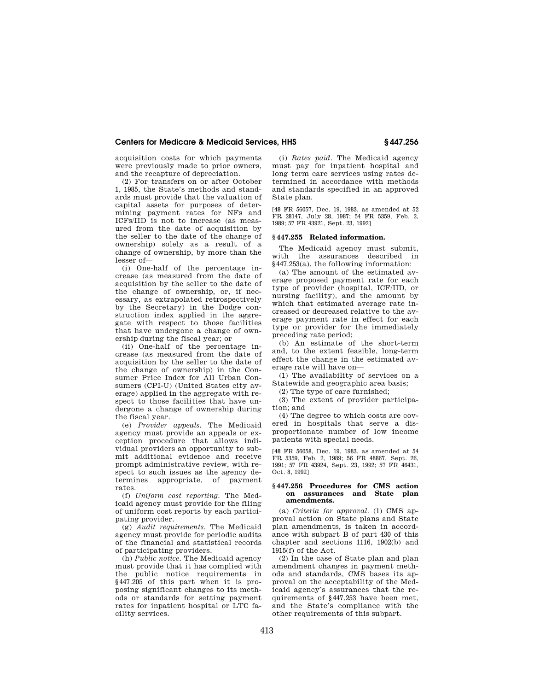acquisition costs for which payments were previously made to prior owners, and the recapture of depreciation.

(2) For transfers on or after October 1, 1985, the State's methods and standards must provide that the valuation of capital assets for purposes of determining payment rates for NFs and ICFs/IID is not to increase (as measured from the date of acquisition by the seller to the date of the change of ownership) solely as a result of a change of ownership, by more than the lesser of—

(i) One-half of the percentage increase (as measured from the date of acquisition by the seller to the date of the change of ownership, or, if necessary, as extrapolated retrospectively by the Secretary) in the Dodge construction index applied in the aggregate with respect to those facilities that have undergone a change of ownership during the fiscal year; or

(ii) One-half of the percentage increase (as measured from the date of acquisition by the seller to the date of the change of ownership) in the Consumer Price Index for All Urban Consumers (CPI-U) (United States city average) applied in the aggregate with respect to those facilities that have undergone a change of ownership during the fiscal year.

(e) *Provider appeals.* The Medicaid agency must provide an appeals or exception procedure that allows individual providers an opportunity to submit additional evidence and receive prompt administrative review, with respect to such issues as the agency determines appropriate, of payment rates.

(f) *Uniform cost reporting.* The Medicaid agency must provide for the filing of uniform cost reports by each participating provider.

(g) *Audit requirements.* The Medicaid agency must provide for periodic audits of the financial and statistical records of participating providers.

(h) *Public notice.* The Medicaid agency must provide that it has complied with the public notice requirements in §447.205 of this part when it is proposing significant changes to its methods or standards for setting payment rates for inpatient hospital or LTC facility services.

(i) *Rates paid.* The Medicaid agency must pay for inpatient hospital and long term care services using rates determined in accordance with methods and standards specified in an approved State plan.

[48 FR 56057, Dec. 19, 1983, as amended at 52 FR 28147, July 28, 1987; 54 FR 5359, Feb. 2, 1989; 57 FR 43921, Sept. 23, 1992]

## **§ 447.255 Related information.**

The Medicaid agency must submit, with the assurances described in §447.253(a), the following information:

(a) The amount of the estimated average proposed payment rate for each type of provider (hospital, ICF/IID, or nursing facility), and the amount by which that estimated average rate increased or decreased relative to the average payment rate in effect for each type or provider for the immediately preceding rate period;

(b) An estimate of the short-term and, to the extent feasible, long-term effect the change in the estimated average rate will have on—

(1) The availability of services on a Statewide and geographic area basis;

(2) The type of care furnished;

(3) The extent of provider participation; and

(4) The degree to which costs are covered in hospitals that serve a disproportionate number of low income patients with special needs.

[48 FR 56058, Dec. 19, 1983, as amended at 54 FR 5359, Feb. 2, 1989; 56 FR 48867, Sept. 26, 1991; 57 FR 43924, Sept. 23, 1992; 57 FR 46431, Oct. 8, 1992]

#### **§ 447.256 Procedures for CMS action on assurances and State plan amendments.**

(a) *Criteria for approval.* (1) CMS approval action on State plans and State plan amendments, is taken in accordance with subpart B of part 430 of this chapter and sections 1116, 1902(b) and 1915(f) of the Act.

(2) In the case of State plan and plan amendment changes in payment methods and standards, CMS bases its approval on the acceptability of the Medicaid agency's assurances that the requirements of §447.253 have been met, and the State's compliance with the other requirements of this subpart.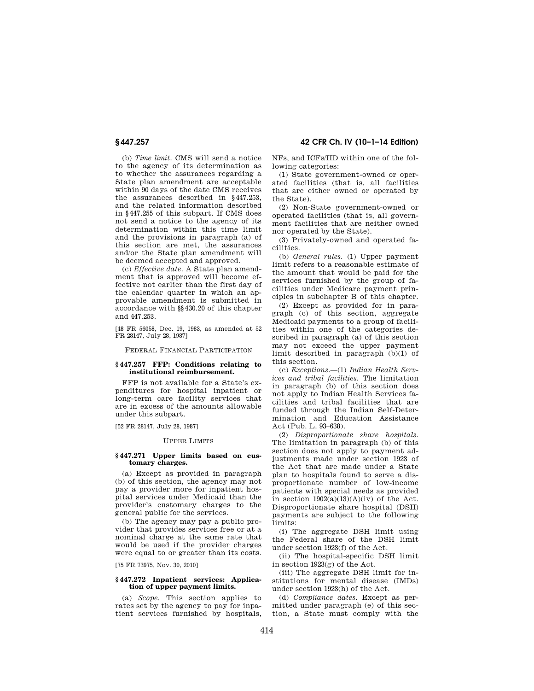(b) *Time limit.* CMS will send a notice to the agency of its determination as to whether the assurances regarding a State plan amendment are acceptable within 90 days of the date CMS receives the assurances described in §447.253, and the related information described in §447.255 of this subpart. If CMS does not send a notice to the agency of its determination within this time limit and the provisions in paragraph (a) of this section are met, the assurances and/or the State plan amendment will be deemed accepted and approved.

(c) *Effective date.* A State plan amendment that is approved will become effective not earlier than the first day of the calendar quarter in which an approvable amendment is submitted in accordance with §§430.20 of this chapter and 447.253.

[48 FR 56058, Dec. 19, 1983, as amended at 52 FR 28147, July 28, 1987]

FEDERAL FINANCIAL PARTICIPATION

## **§ 447.257 FFP: Conditions relating to institutional reimbursement.**

FFP is not available for a State's expenditures for hospital inpatient or long-term care facility services that are in excess of the amounts allowable under this subpart.

[52 FR 28147, July 28, 1987]

#### UPPER LIMITS

#### **§ 447.271 Upper limits based on customary charges.**

(a) Except as provided in paragraph (b) of this section, the agency may not pay a provider more for inpatient hospital services under Medicaid than the provider's customary charges to the general public for the services.

(b) The agency may pay a public provider that provides services free or at a nominal charge at the same rate that would be used if the provider charges were equal to or greater than its costs.

[75 FR 73975, Nov. 30, 2010]

### **§ 447.272 Inpatient services: Application of upper payment limits.**

(a) *Scope.* This section applies to rates set by the agency to pay for inpatient services furnished by hospitals,

**§ 447.257 42 CFR Ch. IV (10–1–14 Edition)** 

NFs, and ICFs/IID within one of the following categories:

(1) State government-owned or operated facilities (that is, all facilities that are either owned or operated by the State).

(2) Non-State government-owned or operated facilities (that is, all government facilities that are neither owned nor operated by the State).

(3) Privately-owned and operated facilities.

(b) *General rules.* (1) Upper payment limit refers to a reasonable estimate of the amount that would be paid for the services furnished by the group of facilities under Medicare payment principles in subchapter B of this chapter.

(2) Except as provided for in paragraph (c) of this section, aggregate Medicaid payments to a group of facilities within one of the categories described in paragraph (a) of this section may not exceed the upper payment limit described in paragraph (b)(1) of this section.

(c) *Exceptions.*—(1) *Indian Health Services and tribal facilities.* The limitation in paragraph (b) of this section does not apply to Indian Health Services facilities and tribal facilities that are funded through the Indian Self-Determination and Education Assistance Act (Pub. L. 93–638).

(2) *Disproportionate share hospitals.*  The limitation in paragraph (b) of this section does not apply to payment adjustments made under section 1923 of the Act that are made under a State plan to hospitals found to serve a disproportionate number of low-income patients with special needs as provided in section  $1902(a)(13)(A)(iv)$  of the Act. Disproportionate share hospital (DSH) payments are subject to the following limits:

(i) The aggregate DSH limit using the Federal share of the DSH limit under section 1923(f) of the Act.

(ii) The hospital-specific DSH limit in section 1923(g) of the Act.

(iii) The aggregate DSH limit for institutions for mental disease (IMDs) under section 1923(h) of the Act.

(d) *Compliance dates.* Except as permitted under paragraph (e) of this section, a State must comply with the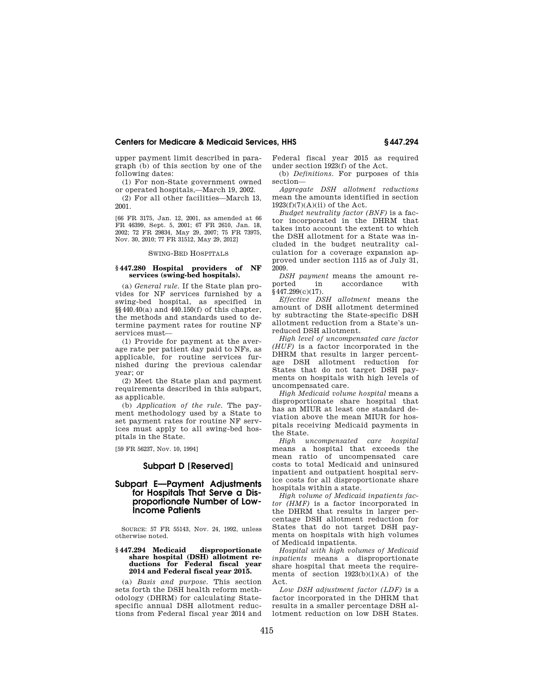upper payment limit described in paragraph (b) of this section by one of the following dates:

(1) For non-State government owned or operated hospitals,—March 19, 2002.

(2) For all other facilities—March 13, 2001.

[66 FR 3175, Jan. 12, 2001, as amended at 66 FR 46399, Sept. 5, 2001; 67 FR 2610, Jan. 18, 2002; 72 FR 29834, May 29, 2007; 75 FR 73975, Nov. 30, 2010; 77 FR 31512, May 29, 2012]

#### SWING-BED HOSPITALS

#### **§ 447.280 Hospital providers of NF services (swing-bed hospitals).**

(a) *General rule.* If the State plan provides for NF services furnished by a swing-bed hospital, as specified in §§440.40(a) and 440.150(f) of this chapter, the methods and standards used to determine payment rates for routine NF services must—

(1) Provide for payment at the average rate per patient day paid to NFs, as applicable, for routine services furnished during the previous calendar year; or

(2) Meet the State plan and payment requirements described in this subpart, as applicable.

(b) *Application of the rule.* The payment methodology used by a State to set payment rates for routine NF services must apply to all swing-bed hospitals in the State.

[59 FR 56237, Nov. 10, 1994]

# **Subpart D [Reserved]**

# **Subpart E—Payment Adjustments for Hospitals That Serve a Disproportionate Number of Low-Income Patients**

SOURCE: 57 FR 55143, Nov. 24, 1992, unless otherwise noted.

#### **§ 447.294 Medicaid disproportionate share hospital (DSH) allotment reductions for Federal fiscal year 2014 and Federal fiscal year 2015.**

(a) *Basis and purpose.* This section sets forth the DSH health reform methodology (DHRM) for calculating Statespecific annual DSH allotment reductions from Federal fiscal year 2014 and Federal fiscal year 2015 as required under section 1923(f) of the Act.

(b) *Definitions.* For purposes of this section—

*Aggregate DSH allotment reductions*  mean the amounts identified in section  $1923(f)(7)(A)(ii)$  of the Act.

*Budget neutrality factor (BNF)* is a factor incorporated in the DHRM that takes into account the extent to which the DSH allotment for a State was included in the budget neutrality calculation for a coverage expansion approved under section 1115 as of July 31, 2009.

*DSH payment* means the amount reported in accordance with accordance  $§$ 447.299(c)(17).

*Effective DSH allotment* means the amount of DSH allotment determined by subtracting the State-specific DSH allotment reduction from a State's unreduced DSH allotment.

*High level of uncompensated care factor (HUF)* is a factor incorporated in the DHRM that results in larger percentage DSH allotment reduction for States that do not target DSH payments on hospitals with high levels of uncompensated care.

*High Medicaid volume hospital* means a disproportionate share hospital that has an MIUR at least one standard deviation above the mean MIUR for hospitals receiving Medicaid payments in the State.

*High uncompensated care hospital*  means a hospital that exceeds the mean ratio of uncompensated care costs to total Medicaid and uninsured inpatient and outpatient hospital service costs for all disproportionate share hospitals within a state.

*High volume of Medicaid inpatients factor (HMF)* is a factor incorporated in the DHRM that results in larger percentage DSH allotment reduction for States that do not target DSH payments on hospitals with high volumes of Medicaid inpatients.

*Hospital with high volumes of Medicaid inpatients* means a disproportionate share hospital that meets the requirements of section  $1923(b)(1)(A)$  of the Act.

*Low DSH adjustment factor (LDF)* is a factor incorporated in the DHRM that results in a smaller percentage DSH allotment reduction on low DSH States.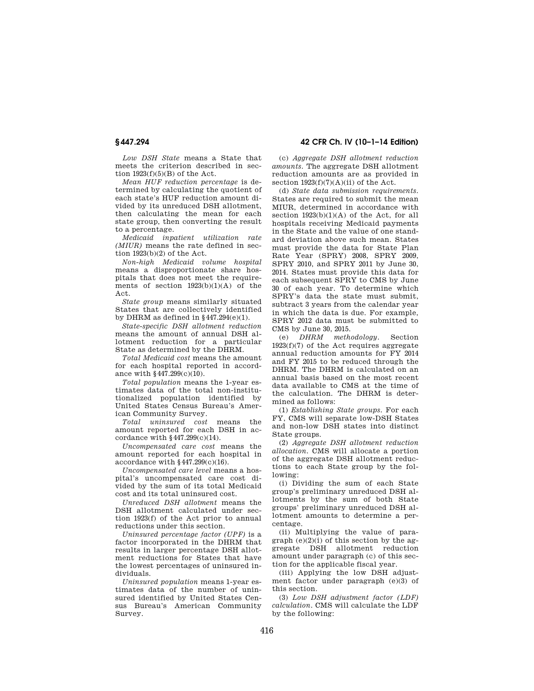*Low DSH State* means a State that meets the criterion described in section  $1923(f)(5)(B)$  of the Act.

*Mean HUF reduction percentage* is determined by calculating the quotient of each state's HUF reduction amount divided by its unreduced DSH allotment, then calculating the mean for each state group, then converting the result to a percentage.

*Medicaid inpatient utilization rate (MIUR)* means the rate defined in section  $1923(b)(2)$  of the Act.

*Non-high Medicaid volume hospital*  means a disproportionate share hospitals that does not meet the requirements of section  $1923(b)(1)(A)$  of the Act.

*State group* means similarly situated States that are collectively identified by DHRM as defined in  $§$ 447.294 $(e)(1)$ .

*State-specific DSH allotment reduction*  means the amount of annual DSH allotment reduction for a particular State as determined by the DHRM.

*Total Medicaid cost* means the amount for each hospital reported in accordance with §447.299(c)(10).

*Total population* means the 1-year estimates data of the total non-institutionalized population identified by United States Census Bureau's American Community Survey.

*Total uninsured cost* means the amount reported for each DSH in accordance with  $§447.299(c)(14)$ .

*Uncompensated care cost* means the amount reported for each hospital in accordance with  $§$ 447.299 $(c)(16)$ .

*Uncompensated care level* means a hospital's uncompensated care cost divided by the sum of its total Medicaid cost and its total uninsured cost.

*Unreduced DSH allotment* means the DSH allotment calculated under section 1923(f) of the Act prior to annual reductions under this section.

*Uninsured percentage factor (UPF)* is a factor incorporated in the DHRM that results in larger percentage DSH allotment reductions for States that have the lowest percentages of uninsured individuals.

*Uninsured population* means 1-year estimates data of the number of uninsured identified by United States Census Bureau's American Community Survey.

**§ 447.294 42 CFR Ch. IV (10–1–14 Edition)** 

(c) *Aggregate DSH allotment reduction amounts.* The aggregate DSH allotment reduction amounts are as provided in section  $1923(f)(7)(A)(ii)$  of the Act.

(d) *State data submission requirements.*  States are required to submit the mean MIUR, determined in accordance with section 1923(b)(1)(A) of the Act, for all hospitals receiving Medicaid payments in the State and the value of one standard deviation above such mean. States must provide the data for State Plan Rate Year (SPRY) 2008, SPRY 2009, SPRY 2010, and SPRY 2011 by June 30, 2014. States must provide this data for each subsequent SPRY to CMS by June 30 of each year. To determine which SPRY's data the state must submit, subtract 3 years from the calendar year in which the data is due. For example, SPRY 2012 data must be submitted to CMS by June 30, 2015.

(e) *DHRM methodology.* Section  $1923(f)(7)$  of the Act requires aggregate annual reduction amounts for FY 2014 and FY 2015 to be reduced through the DHRM. The DHRM is calculated on an annual basis based on the most recent data available to CMS at the time of the calculation. The DHRM is determined as follows:

(1) *Establishing State groups.* For each FY, CMS will separate low-DSH States and non-low DSH states into distinct State groups.

(2) *Aggregate DSH allotment reduction allocation.* CMS will allocate a portion of the aggregate DSH allotment reductions to each State group by the following:

(i) Dividing the sum of each State group's preliminary unreduced DSH allotments by the sum of both State groups' preliminary unreduced DSH allotment amounts to determine a percentage.

(ii) Multiplying the value of paragraph  $(e)(2)(i)$  of this section by the aggregate DSH allotment reduction amount under paragraph (c) of this section for the applicable fiscal year.

(iii) Applying the low DSH adjustment factor under paragraph (e)(3) of this section.

(3) *Low DSH adjustment factor (LDF) calculation.* CMS will calculate the LDF by the following: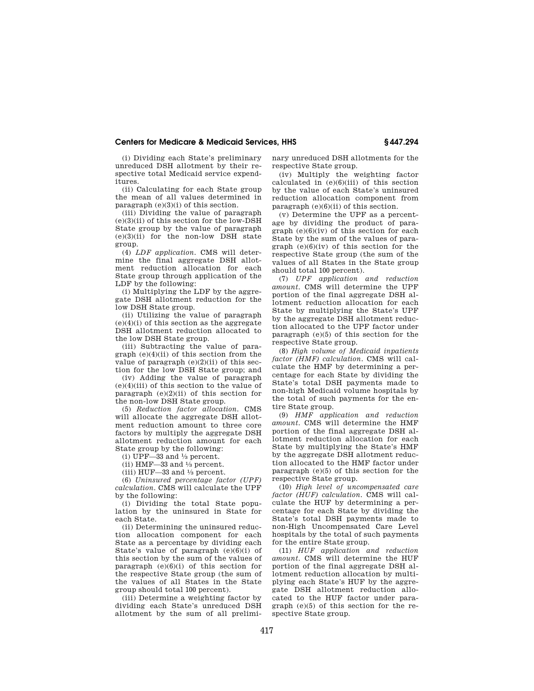(i) Dividing each State's preliminary unreduced DSH allotment by their respective total Medicaid service expenditures.

(ii) Calculating for each State group the mean of all values determined in paragraph (e)(3)(i) of this section.

(iii) Dividing the value of paragraph (e)(3)(ii) of this section for the low-DSH State group by the value of paragraph (e)(3)(ii) for the non-low DSH state group.

(4) *LDF application.* CMS will determine the final aggregate DSH allotment reduction allocation for each State group through application of the LDF by the following:

(i) Multiplying the LDF by the aggregate DSH allotment reduction for the low DSH State group.

(ii) Utilizing the value of paragraph  $(e)(4)(i)$  of this section as the aggregate DSH allotment reduction allocated to the low DSH State group.

(iii) Subtracting the value of paragraph (e)(4)(ii) of this section from the value of paragraph  $(e)(2)(ii)$  of this section for the low DSH State group; and

(iv) Adding the value of paragraph (e)(4)(iii) of this section to the value of paragraph  $(e)(2)(ii)$  of this section for the non-low DSH State group.

(5) *Reduction factor allocation.* CMS will allocate the aggregate DSH allotment reduction amount to three core factors by multiply the aggregate DSH allotment reduction amount for each State group by the following:

(i) UPF—33 and  $\frac{1}{3}$  percent.

(ii) HMF $-33$  and  $\frac{1}{3}$  percent.

(iii) HUF—33 and 1⁄3 percent.

(6) *Uninsured percentage factor (UPF) calculation.* CMS will calculate the UPF by the following:

(i) Dividing the total State population by the uninsured in State for each State.

(ii) Determining the uninsured reduction allocation component for each State as a percentage by dividing each State's value of paragraph (e)(6)(i) of this section by the sum of the values of paragraph  $(e)(6)(i)$  of this section for the respective State group (the sum of the values of all States in the State group should total 100 percent).

(iii) Determine a weighting factor by dividing each State's unreduced DSH allotment by the sum of all preliminary unreduced DSH allotments for the respective State group.

(iv) Multiply the weighting factor calculated in  $(e)(6)(iii)$  of this section by the value of each State's uninsured reduction allocation component from paragraph  $(e)(6)(ii)$  of this section.

(v) Determine the UPF as a percentage by dividing the product of paragraph  $(e)(6)(iv)$  of this section for each State by the sum of the values of paragraph  $(e)(6)(iv)$  of this section for the respective State group (the sum of the values of all States in the State group should total 100 percent).

(7) *UPF application and reduction amount.* CMS will determine the UPF portion of the final aggregate DSH allotment reduction allocation for each State by multiplying the State's UPF by the aggregate DSH allotment reduction allocated to the UPF factor under paragraph (e)(5) of this section for the respective State group.

(8) *High volume of Medicaid inpatients factor (HMF) calculation.* CMS will calculate the HMF by determining a percentage for each State by dividing the State's total DSH payments made to non-high Medicaid volume hospitals by the total of such payments for the entire State group.

(9) *HMF application and reduction amount.* CMS will determine the HMF portion of the final aggregate DSH allotment reduction allocation for each State by multiplying the State's HMF by the aggregate DSH allotment reduction allocated to the HMF factor under paragraph (e)(5) of this section for the respective State group.

(10) *High level of uncompensated care factor (HUF) calculation.* CMS will calculate the HUF by determining a percentage for each State by dividing the State's total DSH payments made to non-High Uncompensated Care Level hospitals by the total of such payments for the entire State group.

(11) *HUF application and reduction amount.* CMS will determine the HUF portion of the final aggregate DSH allotment reduction allocation by multiplying each State's HUF by the aggregate DSH allotment reduction allocated to the HUF factor under paragraph (e)(5) of this section for the respective State group.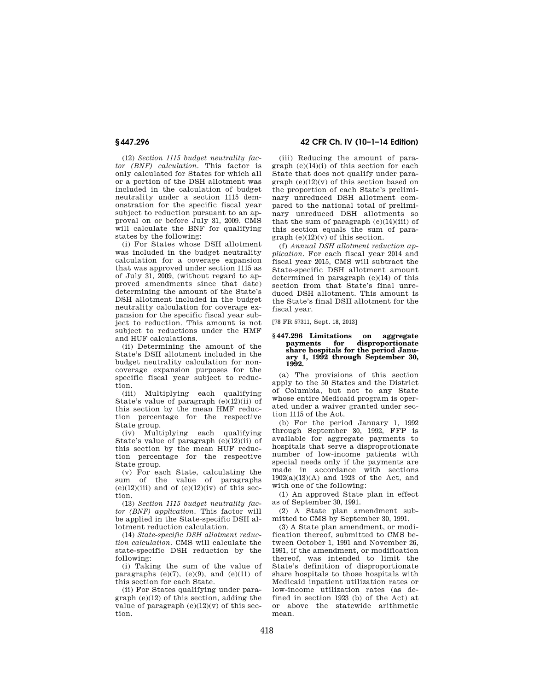(12) *Section 1115 budget neutrality factor (BNF) calculation.* This factor is only calculated for States for which all or a portion of the DSH allotment was included in the calculation of budget neutrality under a section 1115 demonstration for the specific fiscal year subject to reduction pursuant to an approval on or before July 31, 2009. CMS will calculate the BNF for qualifying states by the following:

(i) For States whose DSH allotment was included in the budget neutrality calculation for a coverage expansion that was approved under section 1115 as of July 31, 2009, (without regard to approved amendments since that date) determining the amount of the State's DSH allotment included in the budget neutrality calculation for coverage expansion for the specific fiscal year subject to reduction. This amount is not subject to reductions under the HMF and HUF calculations.

(ii) Determining the amount of the State's DSH allotment included in the budget neutrality calculation for noncoverage expansion purposes for the specific fiscal year subject to reduction.

(iii) Multiplying each qualifying State's value of paragraph (e)(12)(ii) of this section by the mean HMF reduction percentage for the respective State group.

(iv) Multiplying each qualifying State's value of paragraph (e)(12)(ii) of this section by the mean HUF reduction percentage for the respective State group.

(v) For each State, calculating the sum of the value of paragraphs  $(e)(12)(iii)$  and of  $(e)(12)(iv)$  of this section.

(13) *Section 1115 budget neutrality factor (BNF) application.* This factor will be applied in the State-specific DSH allotment reduction calculation.

(14) *State-specific DSH allotment reduction calculation.* CMS will calculate the state-specific DSH reduction by the following:

(i) Taking the sum of the value of paragraphs  $(e)(7)$ ,  $(e)(9)$ , and  $(e)(11)$  of this section for each State.

(ii) For States qualifying under paragraph (e)(12) of this section, adding the value of paragraph  $(e)(12)(v)$  of this section.

# **§ 447.296 42 CFR Ch. IV (10–1–14 Edition)**

(iii) Reducing the amount of paragraph (e)(14)(i) of this section for each State that does not qualify under paragraph  $(e)(12)(v)$  of this section based on the proportion of each State's preliminary unreduced DSH allotment compared to the national total of preliminary unreduced DSH allotments so that the sum of paragraph  $(e)(14)(iii)$  of this section equals the sum of para $graph (e)(12)(v)$  of this section.

(f) *Annual DSH allotment reduction application.* For each fiscal year 2014 and fiscal year 2015, CMS will subtract the State-specific DSH allotment amount determined in paragraph (e)(14) of this section from that State's final unreduced DSH allotment. This amount is the State's final DSH allotment for the fiscal year.

[78 FR 57311, Sept. 18, 2013]

#### **§ 447.296 Limitations on aggregate payments for disproportionate share hospitals for the period January 1, 1992 through September 30, 1992.**

(a) The provisions of this section apply to the 50 States and the District of Columbia, but not to any State whose entire Medicaid program is operated under a waiver granted under section 1115 of the Act.

(b) For the period January 1, 1992 through September 30, 1992, FFP is available for aggregate payments to hospitals that serve a disproprotionate number of low-income patients with special needs only if the payments are made in accordance with sections 1902(a)(13)(A) and 1923 of the Act, and with one of the following:

(1) An approved State plan in effect as of September 30, 1991.

(2) A State plan amendment submitted to CMS by September 30, 1991.

(3) A State plan amendment, or modification thereof, submitted to CMS between October 1, 1991 and November 26, 1991, if the amendment, or modification thereof, was intended to limit the State's definition of disproportionate share hospitals to those hospitals with Medicaid inpatient utilization rates or low-income utilization rates (as defined in section 1923 (b) of the Act) at or above the statewide arithmetic mean.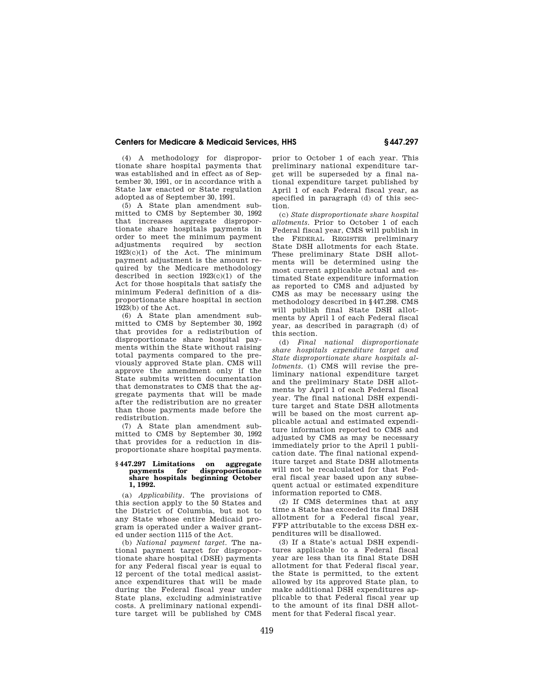(4) A methodology for disproportionate share hospital payments that was established and in effect as of September 30, 1991, or in accordance with a State law enacted or State regulation adopted as of September 30, 1991.

(5) A State plan amendment submitted to CMS by September 30, 1992 that increases aggregate disproportionate share hospitals payments in order to meet the minimum payment adjustments required by section 1923(c)(1) of the Act. The minimum payment adjustment is the amount required by the Medicare methodology described in section  $1923(c)(1)$  of the Act for those hospitals that satisfy the minimum Federal definition of a disproportionate share hospital in section 1923(b) of the Act.

(6) A State plan amendment submitted to CMS by September 30, 1992 that provides for a redistribution of disproportionate share hospital payments within the State without raising total payments compared to the previously approved State plan. CMS will approve the amendment only if the State submits written documentation that demonstrates to CMS that the aggregate payments that will be made after the redistribution are no greater than those payments made before the redistribution.

(7) A State plan amendment submitted to CMS by September 30, 1992 that provides for a reduction in disproportionate share hospital payments.

#### **§ 447.297 Limitations on aggregate payments for disproportionate share hospitals beginning October 1, 1992.**

(a) *Applicability.* The provisions of this section apply to the 50 States and the District of Columbia, but not to any State whose entire Medicaid program is operated under a waiver granted under section 1115 of the Act.

(b) *National payment target.* The national payment target for disproportionate share hospital (DSH) payments for any Federal fiscal year is equal to 12 percent of the total medical assistance expenditures that will be made during the Federal fiscal year under State plans, excluding administrative costs. A preliminary national expenditure target will be published by CMS prior to October 1 of each year. This preliminary national expenditure target will be superseded by a final national expenditure target published by April 1 of each Federal fiscal year, as specified in paragraph (d) of this section.

(c) *State disproportionate share hospital allotments.* Prior to October 1 of each Federal fiscal year, CMS will publish in the FEDERAL REGISTER preliminary State DSH allotments for each State. These preliminary State DSH allotments will be determined using the most current applicable actual and estimated State expenditure information as reported to CMS and adjusted by CMS as may be necessary using the methodology described in §447.298. CMS will publish final State DSH allotments by April 1 of each Federal fiscal year, as described in paragraph (d) of this section.

(d) *Final national disproportionate share hospitals expenditure target and State disproportionate share hospitals allotments.* (1) CMS will revise the preliminary national expenditure target and the preliminary State DSH allotments by April 1 of each Federal fiscal year. The final national DSH expenditure target and State DSH allotments will be based on the most current applicable actual and estimated expenditure information reported to CMS and adjusted by CMS as may be necessary immediately prior to the April 1 publication date. The final national expenditure target and State DSH allotments will not be recalculated for that Federal fiscal year based upon any subsequent actual or estimated expenditure information reported to CMS.

(2) If CMS determines that at any time a State has exceeded its final DSH allotment for a Federal fiscal year, FFP attributable to the excess DSH expenditures will be disallowed.

(3) If a State's actual DSH expenditures applicable to a Federal fiscal year are less than its final State DSH allotment for that Federal fiscal year, the State is permitted, to the extent allowed by its approved State plan, to make additional DSH expenditures applicable to that Federal fiscal year up to the amount of its final DSH allotment for that Federal fiscal year.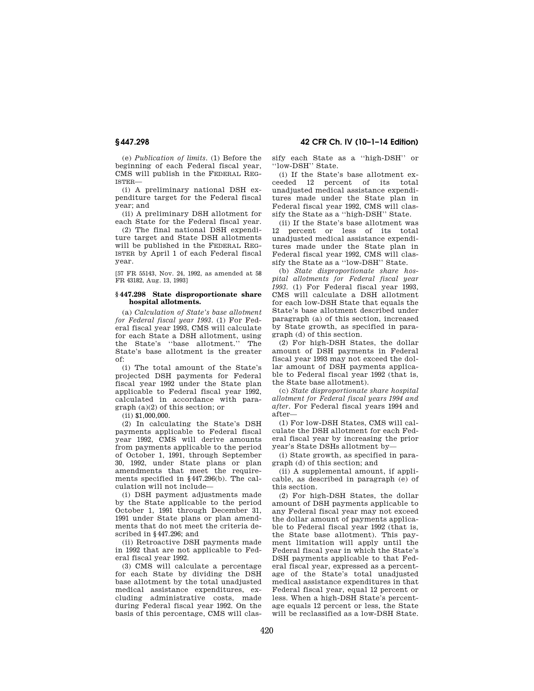**§ 447.298 42 CFR Ch. IV (10–1–14 Edition)** 

(e) *Publication of limits.* (1) Before the beginning of each Federal fiscal year, CMS will publish in the FEDERAL REG-ISTER—

(i) A preliminary national DSH expenditure target for the Federal fiscal year; and

(ii) A preliminary DSH allotment for each State for the Federal fiscal year.

(2) The final national DSH expenditure target and State DSH allotments will be published in the FEDERAL REG-ISTER by April 1 of each Federal fiscal year.

[57 FR 55143, Nov. 24, 1992, as amended at 58 FR 43182, Aug. 13, 1993]

### **§ 447.298 State disproportionate share hospital allotments.**

(a) *Calculation of State's base allotment for Federal fiscal year 1993.* (1) For Federal fiscal year 1993, CMS will calculate for each State a DSH allotment, using the State's ''base allotment.'' The State's base allotment is the greater of:

(i) The total amount of the State's projected DSH payments for Federal fiscal year 1992 under the State plan applicable to Federal fiscal year 1992, calculated in accordance with paragraph (a)(2) of this section; or

(ii) \$1,000,000.

(2) In calculating the State's DSH payments applicable to Federal fiscal year 1992, CMS will derive amounts from payments applicable to the period of October 1, 1991, through September 30, 1992, under State plans or plan amendments that meet the requirements specified in §447.296(b). The calculation will not include—

(i) DSH payment adjustments made by the State applicable to the period October 1, 1991 through December 31, 1991 under State plans or plan amendments that do not meet the criteria described in §447.296; and

(ii) Retroactive DSH payments made in 1992 that are not applicable to Federal fiscal year 1992.

(3) CMS will calculate a percentage for each State by dividing the DSH base allotment by the total unadjusted medical assistance expenditures, excluding administrative costs, made during Federal fiscal year 1992. On the basis of this percentage, CMS will classify each State as a ''high-DSH'' or ''low-DSH'' State.

(i) If the State's base allotment exceeded 12 percent of its total unadjusted medical assistance expenditures made under the State plan in Federal fiscal year 1992, CMS will classify the State as a ''high-DSH'' State.

(ii) If the State's base allotment was 12 percent or less of its total unadjusted medical assistance expenditures made under the State plan in Federal fiscal year 1992, CMS will classify the State as a ''low-DSH'' State.

(b) *State disproportionate share hospital allotments for Federal fiscal year 1993.* (1) For Federal fiscal year 1993, CMS will calculate a DSH allotment for each low-DSH State that equals the State's base allotment described under paragraph (a) of this section, increased by State growth, as specified in paragraph (d) of this section.

(2) For high-DSH States, the dollar amount of DSH payments in Federal fiscal year 1993 may not exceed the dollar amount of DSH payments applicable to Federal fiscal year 1992 (that is, the State base allotment).

(c) *State disproportionate share hospital allotment for Federal fiscal years 1994 and after.* For Federal fiscal years 1994 and after—

(1) For low-DSH States, CMS will calculate the DSH allotment for each Federal fiscal year by increasing the prior year's State DSHs allotment by—

(i) State growth, as specified in paragraph (d) of this section; and

(ii) A supplemental amount, if applicable, as described in paragraph (e) of this section.

(2) For high-DSH States, the dollar amount of DSH payments applicable to any Federal fiscal year may not exceed the dollar amount of payments applicable to Federal fiscal year 1992 (that is, the State base allotment). This payment limitation will apply until the Federal fiscal year in which the State's DSH payments applicable to that Federal fiscal year, expressed as a percentage of the State's total unadjusted medical assistance expenditures in that Federal fiscal year, equal 12 percent or less. When a high-DSH State's percentage equals 12 percent or less, the State will be reclassified as a low-DSH State.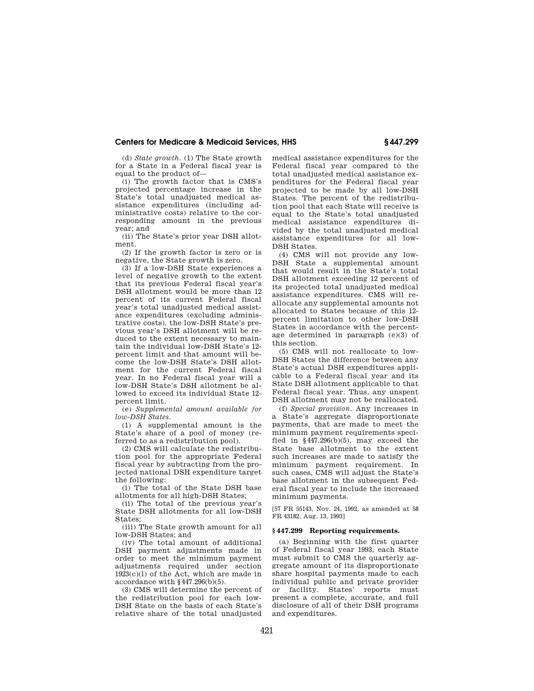(d) *State growth.* (1) The State growth for a State in a Federal fiscal year is equal to the product of—

(i) The growth factor that is CMS's projected percentage increase in the State's total unadjusted medical assistance expenditures (including administrative costs) relative to the corresponding amount in the previous year; and

(ii) The State's prior year DSH allotment.

(2) If the growth factor is zero or is negative, the State growth is zero.

(3) If a low-DSH State experiences a level of negative growth to the extent that its previous Federal fiscal year's DSH allotment would be more than 12 percent of its current Federal fiscal year's total unadjusted medical assistance expenditures (excluding administrative costs), the low-DSH State's previous year's DSH allotment will be reduced to the extent necessary to maintain the individual low-DSH State's 12 percent limit and that amount will become the low-DSH State's DSH allotment for the current Federal fiscal year. In no Federal fiscal year will a low-DSH State's DSH allotment be allowed to exceed its individual State 12 percent limit.

(e) *Supplemental amount available for low-DSH States.* 

(1) A supplemental amount is the State's share of a pool of money (referred to as a redistribution pool).

(2) CMS will calculate the redistribution pool for the appropriate Federal fiscal year by subtracting from the projected national DSH expenditure target the following:

(i) The total of the State DSH base allotments for all high-DSH States;

(ii) The total of the previous year's State DSH allotments for all low-DSH States;

(iii) The State growth amount for all low-DSH States; and

(iv) The total amount of additional DSH payment adjustments made in order to meet the minimum payment adjustments required under section 1923(c)(l) of the Act, which are made in accordance with §447.296(b)(5).

(3) CMS will determine the percent of the redistribution pool for each low-DSH State on the basis of each State's relative share of the total unadjusted

medical assistance expenditures for the Federal fiscal year compared to the total unadjusted medical assistance expenditures for the Federal fiscal year projected to be made by all low-DSH States. The percent of the redistribution pool that each State will receive is equal to the State's total unadjusted medical assistance expenditures divided by the total unadjusted medical assistance expenditures for all low-DSH States.

(4) CMS will not provide any low-DSH State a supplemental amount that would result in the State's total DSH allotment exceeding 12 percent of its projected total unadjusted medical assistance expenditures. CMS will reallocate any supplemental amounts not allocated to States because of this 12 percent limitation to other low-DSH States in accordance with the percentage determined in paragraph (e)(3) of this section.

(5) CMS will not reallocate to low-DSH States the difference between any State's actual DSH expenditures applicable to a Federal fiscal year and its State DSH allotment applicable to that Federal fiscal year. Thus, any unspent DSH allotment may not be reallocated.

(f) *Special provision.* Any increases in a State's aggregate disproportionate payments, that are made to meet the minimum payment requirements specified in  $\frac{447.296(b)}{5}$ , may exceed the State base allotment to the extent such increases are made to satisfy the minimum payment requirement. In such cases, CMS will adjust the State's base allotment in the subsequent Federal fiscal year to include the increased minimum payments.

[57 FR 55143, Nov. 24, 1992, as amended at 58 FR 43182, Aug. 13, 1993]

## **§ 447.299 Reporting requirements.**

(a) Beginning with the first quarter of Federal fiscal year 1993, each State must submit to CMS the quarterly aggregate amount of its disproportionate share hospital payments made to each individual public and private provider or facility. States' reports must present a complete, accurate, and full disclosure of all of their DSH programs and expenditures.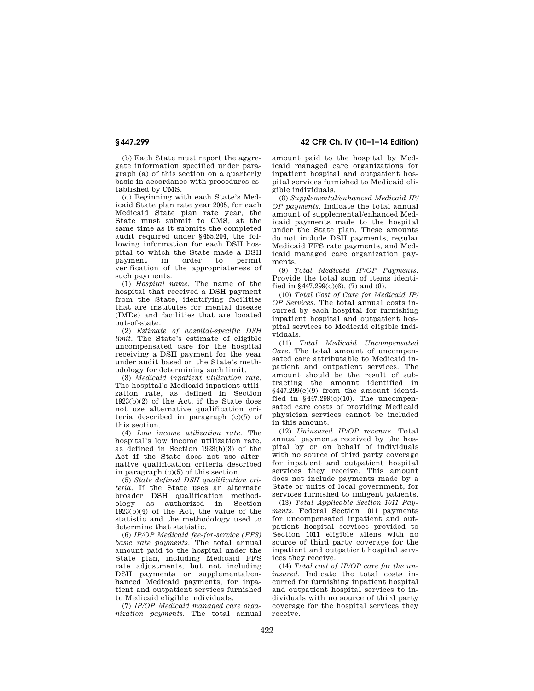(b) Each State must report the aggregate information specified under paragraph (a) of this section on a quarterly basis in accordance with procedures established by CMS.

(c) Beginning with each State's Medicaid State plan rate year 2005, for each Medicaid State plan rate year, the State must submit to CMS, at the same time as it submits the completed audit required under §455.204, the following information for each DSH hospital to which the State made a DSH payment in order to permit verification of the appropriateness of such payments:

(1) *Hospital name.* The name of the hospital that received a DSH payment from the State, identifying facilities that are institutes for mental disease (IMDs) and facilities that are located out-of-state.

(2) *Estimate of hospital-specific DSH limit.* The State's estimate of eligible uncompensated care for the hospital receiving a DSH payment for the year under audit based on the State's methodology for determining such limit.

(3) *Medicaid inpatient utilization rate.*  The hospital's Medicaid inpatient utilization rate, as defined in Section 1923(b)(2) of the Act, if the State does not use alternative qualification criteria described in paragraph (c)(5) of this section.

(4) *Low income utilization rate.* The hospital's low income utilization rate, as defined in Section 1923(b)(3) of the Act if the State does not use alternative qualification criteria described in paragraph (c)(5) of this section.

(5) *State defined DSH qualification criteria.* If the State uses an alternate broader DSH qualification methodology as authorized in Section 1923(b)(4) of the Act, the value of the statistic and the methodology used to determine that statistic.

(6) *IP/OP Medicaid fee-for-service (FFS) basic rate payments.* The total annual amount paid to the hospital under the State plan, including Medicaid FFS rate adjustments, but not including DSH payments or supplemental/enhanced Medicaid payments, for inpatient and outpatient services furnished to Medicaid eligible individuals.

(7) *IP/OP Medicaid managed care organization payments.* The total annual

**§ 447.299 42 CFR Ch. IV (10–1–14 Edition)** 

amount paid to the hospital by Medicaid managed care organizations for inpatient hospital and outpatient hospital services furnished to Medicaid eligible individuals.

(8) *Supplemental/enhanced Medicaid IP/ OP payments.* Indicate the total annual amount of supplemental/enhanced Medicaid payments made to the hospital under the State plan. These amounts do not include DSH payments, regular Medicaid FFS rate payments, and Medicaid managed care organization payments.

(9) *Total Medicaid IP/OP Payments.*  Provide the total sum of items identified in  $$447.299(c)(6)$ , (7) and (8).

(10) *Total Cost of Care for Medicaid IP/ OP Services.* The total annual costs incurred by each hospital for furnishing inpatient hospital and outpatient hospital services to Medicaid eligible individuals.

(11) *Total Medicaid Uncompensated Care.* The total amount of uncompensated care attributable to Medicaid inpatient and outpatient services. The amount should be the result of subtracting the amount identified in §447.299(c)(9) from the amount identified in  $§447.299(c)(10)$ . The uncompensated care costs of providing Medicaid physician services cannot be included in this amount.

(12) *Uninsured IP/OP revenue.* Total annual payments received by the hospital by or on behalf of individuals with no source of third party coverage for inpatient and outpatient hospital services they receive. This amount does not include payments made by a State or units of local government, for services furnished to indigent patients.

(13) *Total Applicable Section 1011 Payments.* Federal Section 1011 payments for uncompensated inpatient and outpatient hospital services provided to Section 1011 eligible aliens with no source of third party coverage for the inpatient and outpatient hospital services they receive.

(14) *Total cost of IP/OP care for the uninsured.* Indicate the total costs incurred for furnishing inpatient hospital and outpatient hospital services to individuals with no source of third party coverage for the hospital services they receive.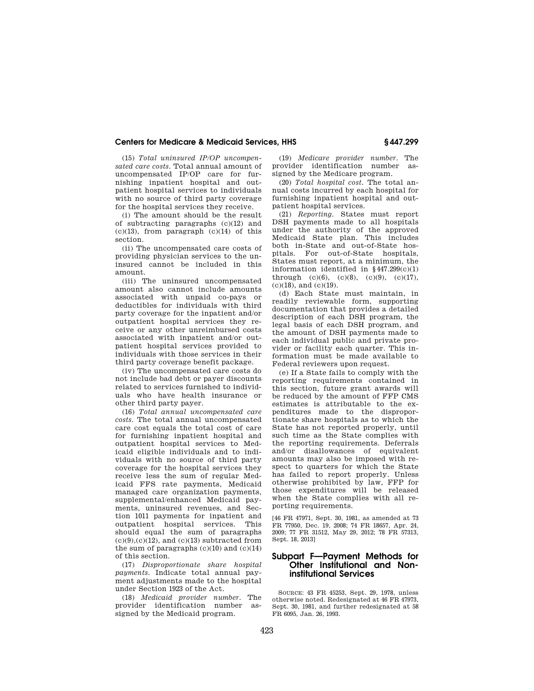(15) *Total uninsured IP/OP uncompensated care costs.* Total annual amount of uncompensated IP/OP care for furnishing inpatient hospital and outpatient hospital services to individuals with no source of third party coverage for the hospital services they receive.

(i) The amount should be the result of subtracting paragraphs (c)(12) and  $(c)(13)$ , from paragraph  $(c)(14)$  of this section.

(ii) The uncompensated care costs of providing physician services to the uninsured cannot be included in this amount.

(iii) The uninsured uncompensated amount also cannot include amounts associated with unpaid co-pays or deductibles for individuals with third party coverage for the inpatient and/or outpatient hospital services they receive or any other unreimbursed costs associated with inpatient and/or outpatient hospital services provided to individuals with those services in their third party coverage benefit package.

(iv) The uncompensated care costs do not include bad debt or payer discounts related to services furnished to individuals who have health insurance or other third party payer.

(16) *Total annual uncompensated care costs.* The total annual uncompensated care cost equals the total cost of care for furnishing inpatient hospital and outpatient hospital services to Medicaid eligible individuals and to individuals with no source of third party coverage for the hospital services they receive less the sum of regular Medicaid FFS rate payments, Medicaid managed care organization payments, supplemental/enhanced Medicaid payments, uninsured revenues, and Section 1011 payments for inpatient and outpatient hospital services. This should equal the sum of paragraphs  $(c)(9),(c)(12)$ , and  $(c)(13)$  subtracted from the sum of paragraphs  $(c)(10)$  and  $(c)(14)$ of this section.

(17) *Disproportionate share hospital payments.* Indicate total annual payment adjustments made to the hospital under Section 1923 of the Act.

(18) *Medicaid provider number.* The provider identification number assigned by the Medicaid program.

(19) *Medicare provider number.* The provider identification number assigned by the Medicare program.

(20) *Total hospital cost.* The total annual costs incurred by each hospital for furnishing inpatient hospital and outpatient hospital services.

(21) *Reporting.* States must report DSH payments made to all hospitals under the authority of the approved Medicaid State plan. This includes both in-State and out-of-State hospitals. For out-of-State hospitals, States must report, at a minimum, the information identified in  $§447.299(c)(1)$ through  $(c)(6)$ ,  $(c)(8)$ ,  $(c)(9)$ ,  $(c)(17)$ , (c)(18), and (c)(19).

(d) Each State must maintain, in readily reviewable form, supporting documentation that provides a detailed description of each DSH program, the legal basis of each DSH program, and the amount of DSH payments made to each individual public and private provider or facility each quarter. This information must be made available to Federal reviewers upon request.

(e) If a State fails to comply with the reporting requirements contained in this section, future grant awards will be reduced by the amount of FFP CMS estimates is attributable to the expenditures made to the disproportionate share hospitals as to which the State has not reported properly, until such time as the State complies with the reporting requirements. Deferrals and/or disallowances of equivalent amounts may also be imposed with respect to quarters for which the State has failed to report properly. Unless otherwise prohibited by law, FFP for those expenditures will be released when the State complies with all reporting requirements.

[46 FR 47971, Sept. 30, 1981, as amended at 73 FR 77950, Dec. 19, 2008; 74 FR 18657, Apr. 24, 2009; 77 FR 31512, May 29, 2012; 78 FR 57313, Sept. 18, 2013]

# **Subpart F—Payment Methods for Other Institutional and Noninstitutional Services**

SOURCE: 43 FR 45253, Sept. 29, 1978, unless otherwise noted. Redesignated at 46 FR 47973, Sept. 30, 1981, and further redesignated at 58 FR 6095, Jan. 26, 1993.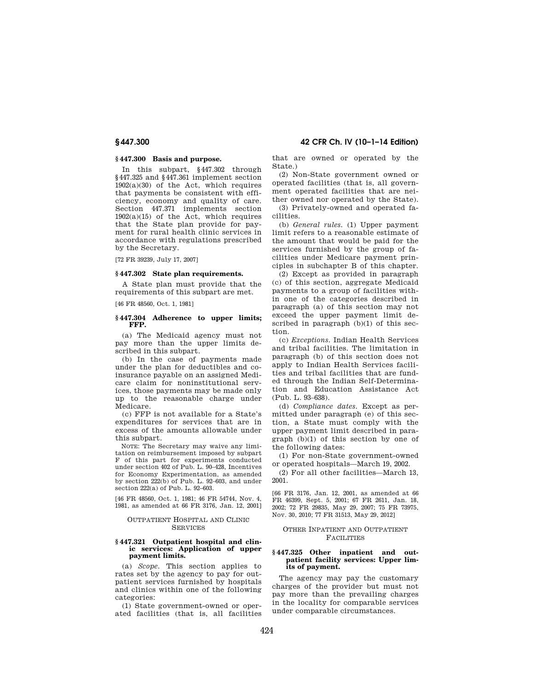## **§ 447.300 Basis and purpose.**

In this subpart, §447.302 through §447.325 and §447.361 implement section 1902(a)(30) of the Act, which requires that payments be consistent with efficiency, economy and quality of care. Section 447.371 implements section  $1902(a)(15)$  of the Act, which requires that the State plan provide for payment for rural health clinic services in accordance with regulations prescribed by the Secretary.

[72 FR 39239, July 17, 2007]

## **§ 447.302 State plan requirements.**

A State plan must provide that the requirements of this subpart are met.

[46 FR 48560, Oct. 1, 1981]

## **§ 447.304 Adherence to upper limits; FFP.**

(a) The Medicaid agency must not pay more than the upper limits described in this subpart.

(b) In the case of payments made under the plan for deductibles and coinsurance payable on an assigned Medicare claim for noninstitutional services, those payments may be made only up to the reasonable charge under Medicare.

(c) FFP is not available for a State's expenditures for services that are in excess of the amounts allowable under this subpart.

NOTE: The Secretary may waive any limitation on reimbursement imposed by subpart F of this part for experiments conducted under section 402 of Pub. L. 90–428, Incentives for Economy Experimentation, as amended by section 222(b) of Pub. L. 92–603, and under section 222(a) of Pub. L. 92–603.

[46 FR 48560, Oct. 1, 1981; 46 FR 54744, Nov. 4, 1981, as amended at 66 FR 3176, Jan. 12, 2001]

### OUTPATIENT HOSPITAL AND CLINIC **SERVICES**

#### **§ 447.321 Outpatient hospital and clinic services: Application of upper payment limits.**

(a) *Scope.* This section applies to rates set by the agency to pay for outpatient services furnished by hospitals and clinics within one of the following categories:

(1) State government-owned or operated facilities (that is, all facilities

**§ 447.300 42 CFR Ch. IV (10–1–14 Edition)** 

that are owned or operated by the State.)

(2) Non-State government owned or operated facilities (that is, all government operated facilities that are neither owned nor operated by the State).

(3) Privately-owned and operated facilities.

(b) *General rules.* (1) Upper payment limit refers to a reasonable estimate of the amount that would be paid for the services furnished by the group of facilities under Medicare payment principles in subchapter B of this chapter.

(2) Except as provided in paragraph (c) of this section, aggregate Medicaid payments to a group of facilities within one of the categories described in paragraph (a) of this section may not exceed the upper payment limit described in paragraph (b)(1) of this section.

(c) *Exceptions.* Indian Health Services and tribal facilities. The limitation in paragraph (b) of this section does not apply to Indian Health Services facilities and tribal facilities that are funded through the Indian Self-Determination and Education Assistance Act (Pub. L. 93–638).

(d) *Compliance dates.* Except as permitted under paragraph (e) of this section, a State must comply with the upper payment limit described in paragraph (b)(1) of this section by one of the following dates:

(1) For non-State government-owned or operated hospitals—March 19, 2002.

(2) For all other facilities—March 13, 2001.

[66 FR 3176, Jan. 12, 2001, as amended at 66 FR 46399, Sept. 5, 2001; 67 FR 2611, Jan. 18, 2002; 72 FR 29835, May 29, 2007; 75 FR 73975, Nov. 30, 2010; 77 FR 31513, May 29, 2012]

#### OTHER INPATIENT AND OUTPATIENT FACILITIES

#### **§ 447.325 Other inpatient and outpatient facility services: Upper limits of payment.**

The agency may pay the customary charges of the provider but must not pay more than the prevailing charges in the locality for comparable services under comparable circumstances.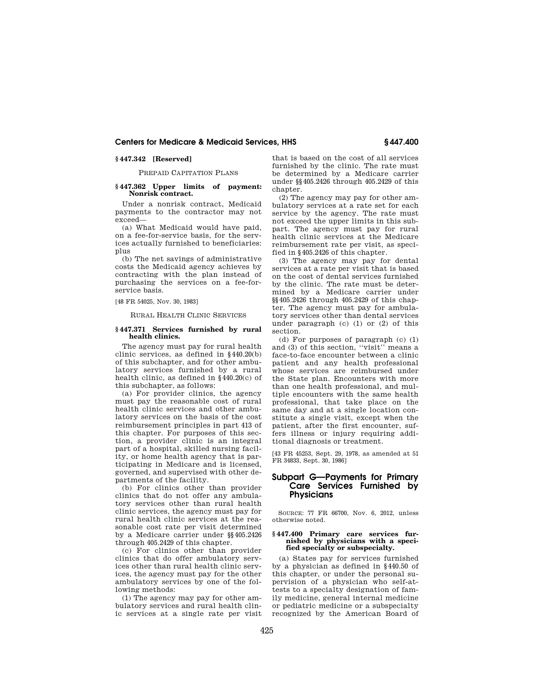## **§ 447.342 [Reserved]**

## PREPAID CAPITATION PLANS

## **§ 447.362 Upper limits of payment: Nonrisk contract.**

Under a nonrisk contract, Medicaid payments to the contractor may not exceed—

(a) What Medicaid would have paid, on a fee-for-service basis, for the services actually furnished to beneficiaries: plus

(b) The net savings of administrative costs the Medicaid agency achieves by contracting with the plan instead of purchasing the services on a fee-forservice basis.

[48 FR 54025, Nov. 30, 1983]

RURAL HEALTH CLINIC SERVICES

## **§ 447.371 Services furnished by rural health clinics.**

The agency must pay for rural health clinic services, as defined in §440.20(b) of this subchapter, and for other ambulatory services furnished by a rural health clinic, as defined in §440.20(c) of this subchapter, as follows:

(a) For provider clinics, the agency must pay the reasonable cost of rural health clinic services and other ambulatory services on the basis of the cost reimbursement principles in part 413 of this chapter. For purposes of this section, a provider clinic is an integral part of a hospital, skilled nursing facility, or home health agency that is participating in Medicare and is licensed, governed, and supervised with other departments of the facility.

(b) For clinics other than provider clinics that do not offer any ambulatory services other than rural health clinic services, the agency must pay for rural health clinic services at the reasonable cost rate per visit determined by a Medicare carrier under §§405.2426 through 405.2429 of this chapter.

(c) For clinics other than provider clinics that do offer ambulatory services other than rural health clinic services, the agency must pay for the other ambulatory services by one of the following methods:

(1) The agency may pay for other ambulatory services and rural health clinic services at a single rate per visit that is based on the cost of all services furnished by the clinic. The rate must be determined by a Medicare carrier under §§405.2426 through 405.2429 of this chapter.

(2) The agency may pay for other ambulatory services at a rate set for each service by the agency. The rate must not exceed the upper limits in this subpart. The agency must pay for rural health clinic services at the Medicare reimbursement rate per visit, as specified in §405.2426 of this chapter.

(3) The agency may pay for dental services at a rate per visit that is based on the cost of dental services furnished by the clinic. The rate must be determined by a Medicare carrier under §§405.2426 through 405.2429 of this chapter. The agency must pay for ambulatory services other than dental services under paragraph (c) (1) or (2) of this section.

(d) For purposes of paragraph (c) (1) and (3) of this section, ''visit'' means a face-to-face encounter between a clinic patient and any health professional whose services are reimbursed under the State plan. Encounters with more than one health professional, and multiple encounters with the same health professional, that take place on the same day and at a single location constitute a single visit, except when the patient, after the first encounter, suffers illness or injury requiring additional diagnosis or treatment.

[43 FR 45253, Sept. 29, 1978, as amended at 51 FR 34833, Sept. 30, 1986]

# **Subpart G—Payments for Primary Care Services Furnished by Physicians**

SOURCE: 77 FR 66700, Nov. 6, 2012, unless otherwise noted.

#### **§ 447.400 Primary care services furnished by physicians with a specified specialty or subspecialty.**

(a) States pay for services furnished by a physician as defined in §440.50 of this chapter, or under the personal supervision of a physician who self-attests to a specialty designation of family medicine, general internal medicine or pediatric medicine or a subspecialty recognized by the American Board of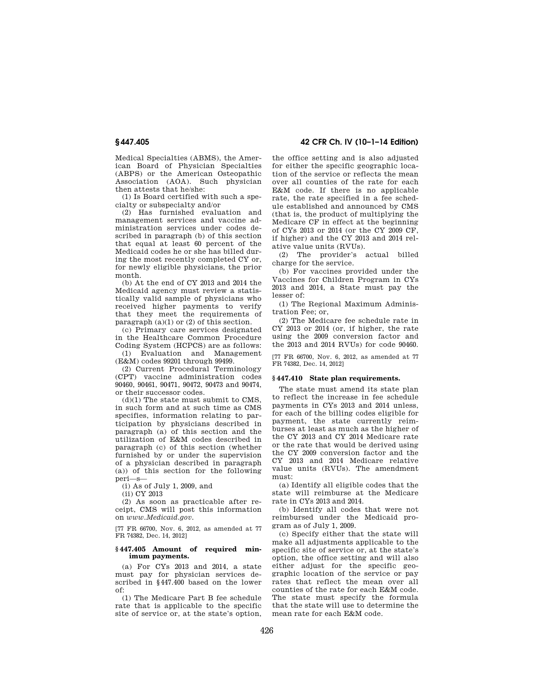Medical Specialties (ABMS), the American Board of Physician Specialties (ABPS) or the American Osteopathic Association (AOA). Such physician then attests that he/she:

(1) Is Board certified with such a specialty or subspecialty and/or

(2) Has furnished evaluation and management services and vaccine administration services under codes described in paragraph (b) of this section that equal at least 60 percent of the Medicaid codes he or she has billed during the most recently completed CY or, for newly eligible physicians, the prior month.

(b) At the end of CY 2013 and 2014 the Medicaid agency must review a statistically valid sample of physicians who received higher payments to verify that they meet the requirements of paragraph  $(a)(1)$  or  $(2)$  of this section.

(c) Primary care services designated in the Healthcare Common Procedure Coding System (HCPCS) are as follows:

(1) Evaluation and Management (E&M) codes 99201 through 99499.

(2) Current Procedural Terminology (CPT) vaccine administration codes 90460, 90461, 90471, 90472, 90473 and 90474, or their successor codes.

 $(d)(1)$  The state must submit to CMS, in such form and at such time as CMS specifies, information relating to participation by physicians described in paragraph (a) of this section and the utilization of E&M codes described in paragraph (c) of this section (whether furnished by or under the supervision of a physician described in paragraph (a)) of this section for the following peri—s—

(i) As of July 1, 2009, and

(ii) CY 2013

(2) As soon as practicable after receipt, CMS will post this information on *www.Medicaid.gov.* 

[77 FR 66700, Nov. 6, 2012, as amended at 77 FR 74382, Dec. 14, 2012]

#### **§ 447.405 Amount of required minimum payments.**

(a) For CYs 2013 and 2014, a state must pay for physician services described in §447.400 based on the lower of:

(1) The Medicare Part B fee schedule rate that is applicable to the specific site of service or, at the state's option,

**§ 447.405 42 CFR Ch. IV (10–1–14 Edition)** 

the office setting and is also adjusted for either the specific geographic location of the service or reflects the mean over all counties of the rate for each E&M code. If there is no applicable rate, the rate specified in a fee schedule established and announced by CMS (that is, the product of multiplying the Medicare CF in effect at the beginning of CYs 2013 or 2014 (or the CY 2009 CF, if higher) and the CY 2013 and 2014 relative value units (RVUs).

(2) The provider's actual billed charge for the service.

(b) For vaccines provided under the Vaccines for Children Program in CYs 2013 and 2014, a State must pay the lesser of:

(1) The Regional Maximum Administration Fee; or,

(2) The Medicare fee schedule rate in CY 2013 or 2014 (or, if higher, the rate using the 2009 conversion factor and the 2013 and 2014 RVUs) for code 90460.

[77 FR 66700, Nov. 6, 2012, as amended at 77 FR 74382, Dec. 14, 2012]

# **§ 447.410 State plan requirements.**

The state must amend its state plan to reflect the increase in fee schedule payments in CYs 2013 and 2014 unless, for each of the billing codes eligible for payment, the state currently reimburses at least as much as the higher of the CY 2013 and CY 2014 Medicare rate or the rate that would be derived using the CY 2009 conversion factor and the CY 2013 and 2014 Medicare relative value units (RVUs). The amendment must:

(a) Identify all eligible codes that the state will reimburse at the Medicare rate in CYs 2013 and 2014.

(b) Identify all codes that were not reimbursed under the Medicaid program as of July 1, 2009.

(c) Specify either that the state will make all adjustments applicable to the specific site of service or, at the state's option, the office setting and will also either adjust for the specific geographic location of the service or pay rates that reflect the mean over all counties of the rate for each E&M code. The state must specify the formula that the state will use to determine the mean rate for each E&M code.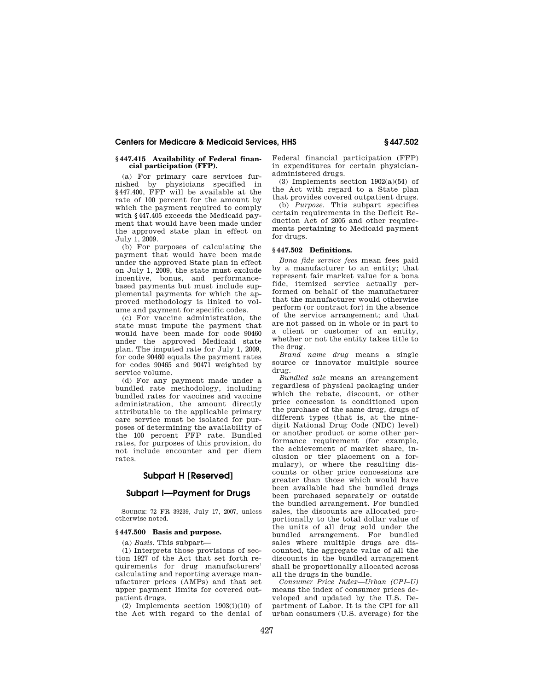## **§ 447.415 Availability of Federal financial participation (FFP).**

(a) For primary care services furnished by physicians specified in §447.400, FFP will be available at the rate of 100 percent for the amount by which the payment required to comply with §447.405 exceeds the Medicaid payment that would have been made under the approved state plan in effect on July 1, 2009.

(b) For purposes of calculating the payment that would have been made under the approved State plan in effect on July 1, 2009, the state must exclude incentive, bonus, and performancebased payments but must include supplemental payments for which the approved methodology is linked to volume and payment for specific codes.

(c) For vaccine administration, the state must impute the payment that would have been made for code 90460 under the approved Medicaid state plan. The imputed rate for July 1, 2009, for code 90460 equals the payment rates for codes 90465 and 90471 weighted by service volume.

(d) For any payment made under a bundled rate methodology, including bundled rates for vaccines and vaccine administration, the amount directly attributable to the applicable primary care service must be isolated for purposes of determining the availability of the 100 percent FFP rate. Bundled rates, for purposes of this provision, do not include encounter and per diem rates.

# **Subpart H [Reserved]**

# **Subpart I—Payment for Drugs**

SOURCE: 72 FR 39239, July 17, 2007, unless otherwise noted.

## **§ 447.500 Basis and purpose.**

(a) *Basis.* This subpart—

(1) Interprets those provisions of section 1927 of the Act that set forth requirements for drug manufacturers' calculating and reporting average manufacturer prices (AMPs) and that set upper payment limits for covered outpatient drugs.

(2) Implements section  $1903(i)(10)$  of the Act with regard to the denial of

Federal financial participation (FFP) in expenditures for certain physicianadministered drugs.

(3) Implements section  $1902(a)(54)$  of the Act with regard to a State plan that provides covered outpatient drugs.

(b) *Purpose.* This subpart specifies certain requirements in the Deficit Reduction Act of 2005 and other requirements pertaining to Medicaid payment for drugs.

## **§ 447.502 Definitions.**

*Bona fide service fees* mean fees paid by a manufacturer to an entity; that represent fair market value for a bona fide, itemized service actually performed on behalf of the manufacturer that the manufacturer would otherwise perform (or contract for) in the absence of the service arrangement; and that are not passed on in whole or in part to a client or customer of an entity, whether or not the entity takes title to the drug.

*Brand name drug* means a single source or innovator multiple source drug.

*Bundled sale* means an arrangement regardless of physical packaging under which the rebate, discount, or other price concession is conditioned upon the purchase of the same drug, drugs of different types (that is, at the ninedigit National Drug Code (NDC) level) or another product or some other performance requirement (for example, the achievement of market share, inclusion or tier placement on a formulary), or where the resulting discounts or other price concessions are greater than those which would have been available had the bundled drugs been purchased separately or outside the bundled arrangement. For bundled sales, the discounts are allocated proportionally to the total dollar value of the units of all drug sold under the bundled arrangement. For bundled sales where multiple drugs are discounted, the aggregate value of all the discounts in the bundled arrangement shall be proportionally allocated across all the drugs in the bundle.

*Consumer Price Index—Urban (CPI–U)*  means the index of consumer prices developed and updated by the U.S. Department of Labor. It is the CPI for all urban consumers (U.S. average) for the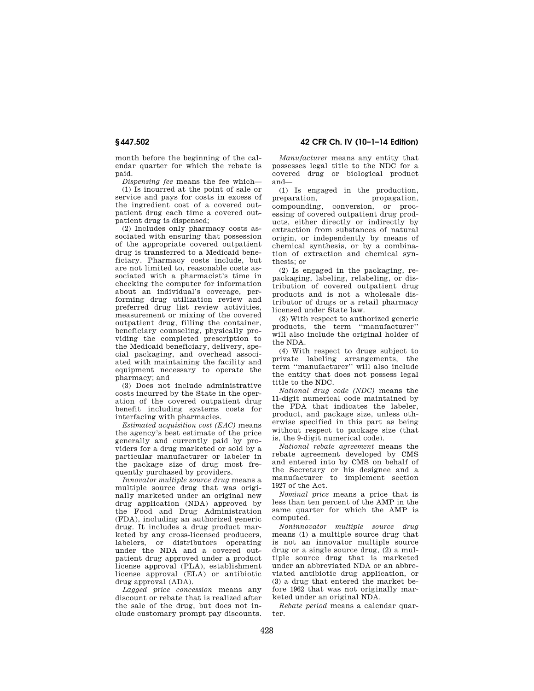month before the beginning of the calendar quarter for which the rebate is paid.

*Dispensing fee* means the fee which—

(1) Is incurred at the point of sale or service and pays for costs in excess of the ingredient cost of a covered outpatient drug each time a covered outpatient drug is dispensed;

(2) Includes only pharmacy costs associated with ensuring that possession of the appropriate covered outpatient drug is transferred to a Medicaid beneficiary. Pharmacy costs include, but are not limited to, reasonable costs associated with a pharmacist's time in checking the computer for information about an individual's coverage, performing drug utilization review and preferred drug list review activities, measurement or mixing of the covered outpatient drug, filling the container, beneficiary counseling, physically providing the completed prescription to the Medicaid beneficiary, delivery, special packaging, and overhead associated with maintaining the facility and equipment necessary to operate the pharmacy; and

(3) Does not include administrative costs incurred by the State in the operation of the covered outpatient drug benefit including systems costs for interfacing with pharmacies.

*Estimated acquisition cost (EAC)* means the agency's best estimate of the price generally and currently paid by providers for a drug marketed or sold by a particular manufacturer or labeler in the package size of drug most frequently purchased by providers.

*Innovator multiple source drug* means a multiple source drug that was originally marketed under an original new drug application (NDA) approved by the Food and Drug Administration (FDA), including an authorized generic drug. It includes a drug product marketed by any cross-licensed producers, labelers, or distributors operating under the NDA and a covered outpatient drug approved under a product license approval (PLA), establishment license approval (ELA) or antibiotic drug approval (ADA).

*Lagged price concession* means any discount or rebate that is realized after the sale of the drug, but does not include customary prompt pay discounts.

**§ 447.502 42 CFR Ch. IV (10–1–14 Edition)** 

*Manufacturer* means any entity that possesses legal title to the NDC for a covered drug or biological product and—

(1) Is engaged in the production, preparation, propagation, compounding, conversion, or processing of covered outpatient drug products, either directly or indirectly by extraction from substances of natural origin, or independently by means of chemical synthesis, or by a combination of extraction and chemical synthesis; or

(2) Is engaged in the packaging, repackaging, labeling, relabeling, or distribution of covered outpatient drug products and is not a wholesale distributor of drugs or a retail pharmacy licensed under State law.

(3) With respect to authorized generic products, the term ''manufacturer'' will also include the original holder of the NDA.

(4) With respect to drugs subject to private labeling arrangements, the term ''manufacturer'' will also include the entity that does not possess legal title to the NDC.

*National drug code (NDC)* means the 11-digit numerical code maintained by the FDA that indicates the labeler, product, and package size, unless otherwise specified in this part as being without respect to package size (that is, the 9-digit numerical code).

*National rebate agreement* means the rebate agreement developed by CMS and entered into by CMS on behalf of the Secretary or his designee and a manufacturer to implement section 1927 of the Act.

*Nominal price* means a price that is less than ten percent of the AMP in the same quarter for which the AMP is computed.

*Noninnovator multiple source drug*  means (1) a multiple source drug that is not an innovator multiple source drug or a single source drug, (2) a multiple source drug that is marketed under an abbreviated NDA or an abbreviated antibiotic drug application, or (3) a drug that entered the market before 1962 that was not originally marketed under an original NDA.

*Rebate period* means a calendar quarter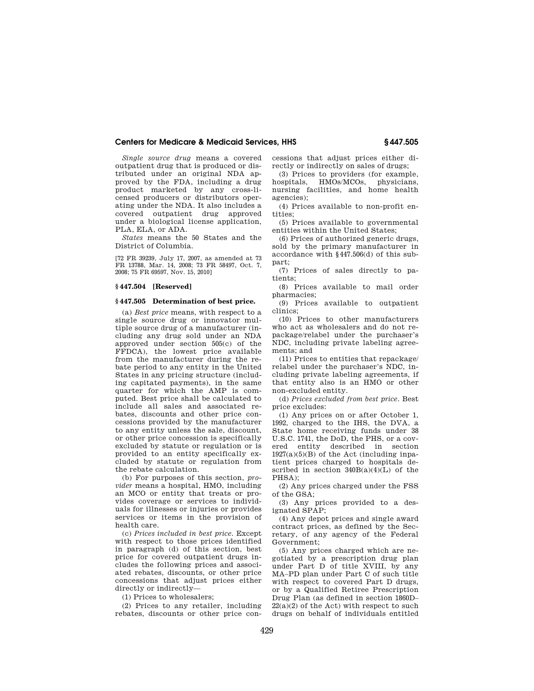*Single source drug* means a covered outpatient drug that is produced or distributed under an original NDA approved by the FDA, including a drug product marketed by any cross-licensed producers or distributors operating under the NDA. It also includes a covered outpatient drug approved under a biological license application, PLA, ELA, or ADA.

*States* means the 50 States and the District of Columbia.

[72 FR 39239, July 17, 2007, as amended at 73 FR 13788, Mar. 14, 2008; 73 FR 58497, Oct. 7, 2008; 75 FR 69597, Nov. 15, 2010]

## **§ 447.504 [Reserved]**

## **§ 447.505 Determination of best price.**

(a) *Best price* means, with respect to a single source drug or innovator multiple source drug of a manufacturer (including any drug sold under an NDA approved under section 505(c) of the FFDCA), the lowest price available from the manufacturer during the rebate period to any entity in the United States in any pricing structure (including capitated payments), in the same quarter for which the AMP is computed. Best price shall be calculated to include all sales and associated rebates, discounts and other price concessions provided by the manufacturer to any entity unless the sale, discount, or other price concession is specifically excluded by statute or regulation or is provided to an entity specifically excluded by statute or regulation from the rebate calculation.

(b) For purposes of this section, *provider* means a hospital, HMO, including an MCO or entity that treats or provides coverage or services to individuals for illnesses or injuries or provides services or items in the provision of health care.

(c) *Prices included in best price.* Except with respect to those prices identified in paragraph (d) of this section, best price for covered outpatient drugs includes the following prices and associated rebates, discounts, or other price concessions that adjust prices either directly or indirectly—

(1) Prices to wholesalers;

(2) Prices to any retailer, including rebates, discounts or other price concessions that adjust prices either directly or indirectly on sales of drugs;

(3) Prices to providers (for example, hospitals, HMOs/MCOs, physicians, nursing facilities, and home health agencies);

(4) Prices available to non-profit entities;

(5) Prices available to governmental entities within the United States;

(6) Prices of authorized generic drugs, sold by the primary manufacturer in accordance with §447.506(d) of this subpart;

(7) Prices of sales directly to patients;

(8) Prices available to mail order pharmacies;

(9) Prices available to outpatient clinics;

(10) Prices to other manufacturers who act as wholesalers and do not repackage/relabel under the purchaser's NDC, including private labeling agreements; and

(11) Prices to entities that repackage/ relabel under the purchaser's NDC, including private labeling agreements, if that entity also is an HMO or other non-excluded entity.

(d) *Prices excluded from best price.* Best price excludes:

(1) Any prices on or after October 1, 1992, charged to the IHS, the DVA, a State home receiving funds under 38 U.S.C. 1741, the DoD, the PHS, or a covered entity described in section  $1927(a)(5)(B)$  of the Act (including inpatient prices charged to hospitals described in section  $340B(a)(4)(L)$  of the PHSA);

(2) Any prices charged under the FSS of the GSA;

(3) Any prices provided to a designated SPAP;

(4) Any depot prices and single award contract prices, as defined by the Secretary, of any agency of the Federal Government;

(5) Any prices charged which are negotiated by a prescription drug plan under Part D of title XVIII, by any MA–PD plan under Part C of such title with respect to covered Part D drugs, or by a Qualified Retiree Prescription Drug Plan (as defined in section 1860D–  $22(a)(2)$  of the Act) with respect to such drugs on behalf of individuals entitled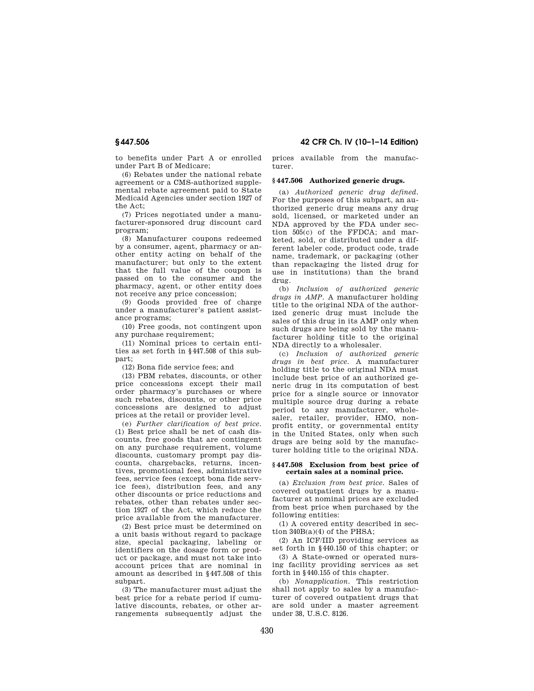to benefits under Part A or enrolled under Part B of Medicare;

(6) Rebates under the national rebate agreement or a CMS-authorized supplemental rebate agreement paid to State Medicaid Agencies under section 1927 of the Act;

(7) Prices negotiated under a manufacturer-sponsored drug discount card program;

(8) Manufacturer coupons redeemed by a consumer, agent, pharmacy or another entity acting on behalf of the manufacturer; but only to the extent that the full value of the coupon is passed on to the consumer and the pharmacy, agent, or other entity does not receive any price concession;

(9) Goods provided free of charge under a manufacturer's patient assistance programs;

(10) Free goods, not contingent upon any purchase requirement;

(11) Nominal prices to certain entities as set forth in §447.508 of this subpart;

(12) Bona fide service fees; and

(13) PBM rebates, discounts, or other price concessions except their mail order pharmacy's purchases or where such rebates, discounts, or other price concessions are designed to adjust prices at the retail or provider level.

(e) *Further clarification of best price.*  (1) Best price shall be net of cash discounts, free goods that are contingent on any purchase requirement, volume discounts, customary prompt pay discounts, chargebacks, returns, incentives, promotional fees, administrative fees, service fees (except bona fide service fees), distribution fees, and any other discounts or price reductions and rebates, other than rebates under section 1927 of the Act, which reduce the price available from the manufacturer.

(2) Best price must be determined on a unit basis without regard to package size, special packaging, labeling or identifiers on the dosage form or product or package, and must not take into account prices that are nominal in amount as described in §447.508 of this subpart.

(3) The manufacturer must adjust the best price for a rebate period if cumulative discounts, rebates, or other arrangements subsequently adjust the

**§ 447.506 42 CFR Ch. IV (10–1–14 Edition)** 

prices available from the manufacturer.

## **§ 447.506 Authorized generic drugs.**

(a) *Authorized generic drug defined.*  For the purposes of this subpart, an authorized generic drug means any drug sold, licensed, or marketed under an NDA approved by the FDA under section 505(c) of the FFDCA; and marketed, sold, or distributed under a different labeler code, product code, trade name, trademark, or packaging (other than repackaging the listed drug for use in institutions) than the brand drug.

(b) *Inclusion of authorized generic drugs in AMP.* A manufacturer holding title to the original NDA of the authorized generic drug must include the sales of this drug in its AMP only when such drugs are being sold by the manufacturer holding title to the original NDA directly to a wholesaler.

(c) *Inclusion of authorized generic drugs in best price.* A manufacturer holding title to the original NDA must include best price of an authorized generic drug in its computation of best price for a single source or innovator multiple source drug during a rebate period to any manufacturer, wholesaler, retailer, provider, HMO, nonprofit entity, or governmental entity in the United States, only when such drugs are being sold by the manufacturer holding title to the original NDA.

#### **§ 447.508 Exclusion from best price of certain sales at a nominal price.**

(a) *Exclusion from best price.* Sales of covered outpatient drugs by a manufacturer at nominal prices are excluded from best price when purchased by the following entities:

(1) A covered entity described in section  $340B(a)(4)$  of the PHSA;

(2) An ICF/IID providing services as set forth in §440.150 of this chapter; or

(3) A State-owned or operated nursing facility providing services as set forth in §440.155 of this chapter.

(b) *Nonapplication.* This restriction shall not apply to sales by a manufacturer of covered outpatient drugs that are sold under a master agreement under 38, U.S.C. 8126.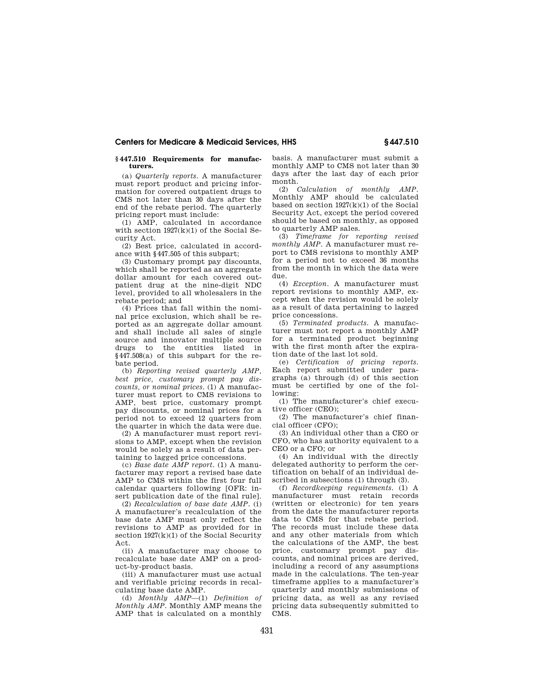## **§ 447.510 Requirements for manufacturers.**

(a) *Quarterly reports.* A manufacturer must report product and pricing information for covered outpatient drugs to CMS not later than 30 days after the end of the rebate period. The quarterly pricing report must include:

(1) AMP, calculated in accordance with section 1927(k)(1) of the Social Security Act.

(2) Best price, calculated in accordance with §447.505 of this subpart;

(3) Customary prompt pay discounts, which shall be reported as an aggregate dollar amount for each covered outpatient drug at the nine-digit NDC level, provided to all wholesalers in the rebate period; and

(4) Prices that fall within the nominal price exclusion, which shall be reported as an aggregate dollar amount and shall include all sales of single source and innovator multiple source drugs to the entities listed in §447.508(a) of this subpart for the rebate period.

(b) *Reporting revised quarterly AMP, best price, customary prompt pay discounts, or nominal prices.* (1) A manufacturer must report to CMS revisions to AMP, best price, customary prompt pay discounts, or nominal prices for a period not to exceed 12 quarters from the quarter in which the data were due.

(2) A manufacturer must report revisions to AMP, except when the revision would be solely as a result of data pertaining to lagged price concessions.

(c) *Base date AMP report.* (1) A manufacturer may report a revised base date AMP to CMS within the first four full calendar quarters following [OFR: insert publication date of the final rule].

(2) *Recalculation of base date AMP.* (i) A manufacturer's recalculation of the base date AMP must only reflect the revisions to AMP as provided for in section  $1927(k)(1)$  of the Social Security Act.

(ii) A manufacturer may choose to recalculate base date AMP on a product-by-product basis.

(iii) A manufacturer must use actual and verifiable pricing records in recalculating base date AMP.

(d) *Monthly AMP*—(1) *Definition of Monthly AMP.* Monthly AMP means the AMP that is calculated on a monthly basis. A manufacturer must submit a monthly AMP to CMS not later than 30 days after the last day of each prior month.

(2) *Calculation of monthly AMP.*  Monthly AMP should be calculated based on section  $1927(k)(1)$  of the Social Security Act, except the period covered should be based on monthly, as opposed to quarterly AMP sales.

(3) *Timeframe for reporting revised monthly AMP.* A manufacturer must report to CMS revisions to monthly AMP for a period not to exceed 36 months from the month in which the data were due.

(4) *Exception.* A manufacturer must report revisions to monthly AMP, except when the revision would be solely as a result of data pertaining to lagged price concessions.

(5) *Terminated products.* A manufacturer must not report a monthly AMP for a terminated product beginning with the first month after the expiration date of the last lot sold.

(e) *Certification of pricing reports.*  Each report submitted under paragraphs (a) through (d) of this section must be certified by one of the following:

(1) The manufacturer's chief executive officer (CEO);

(2) The manufacturer's chief finan $cial$  officer  $(CFO)'$ 

(3) An individual other than a CEO or CFO, who has authority equivalent to a CEO or a CFO; or

(4) An individual with the directly delegated authority to perform the certification on behalf of an individual described in subsections (1) through (3).

(f) *Recordkeeping requirements.* (1) A manufacturer must retain records (written or electronic) for ten years from the date the manufacturer reports data to CMS for that rebate period. The records must include these data and any other materials from which the calculations of the AMP, the best price, customary prompt pay discounts, and nominal prices are derived, including a record of any assumptions made in the calculations. The ten-year timeframe applies to a manufacturer's quarterly and monthly submissions of pricing data, as well as any revised pricing data subsequently submitted to CMS.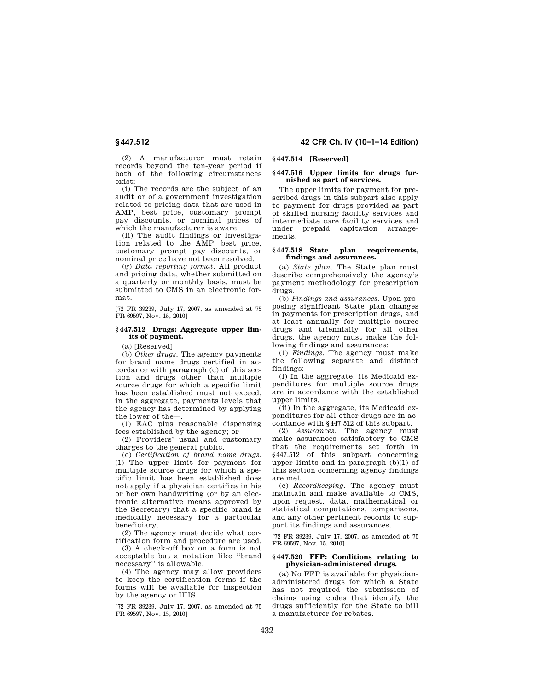**§ 447.512 42 CFR Ch. IV (10–1–14 Edition)** 

(2) A manufacturer must retain records beyond the ten-year period if both of the following circumstances exist:

(i) The records are the subject of an audit or of a government investigation related to pricing data that are used in AMP, best price, customary prompt pay discounts, or nominal prices of which the manufacturer is aware.

(ii) The audit findings or investigation related to the AMP, best price, customary prompt pay discounts, or nominal price have not been resolved.

(g) *Data reporting format.* All product and pricing data, whether submitted on a quarterly or monthly basis, must be submitted to CMS in an electronic format.

[72 FR 39239, July 17, 2007, as amended at 75 FR 69597, Nov. 15, 2010]

## **§ 447.512 Drugs: Aggregate upper limits of payment.**

(a) [Reserved]

(b) *Other drugs.* The agency payments for brand name drugs certified in accordance with paragraph (c) of this section and drugs other than multiple source drugs for which a specific limit has been established must not exceed, in the aggregate, payments levels that the agency has determined by applying the lower of the—.

(1) EAC plus reasonable dispensing fees established by the agency; or

(2) Providers' usual and customary charges to the general public.

(c) *Certification of brand name drugs.*  (1) The upper limit for payment for multiple source drugs for which a specific limit has been established does not apply if a physician certifies in his or her own handwriting (or by an electronic alternative means approved by the Secretary) that a specific brand is medically necessary for a particular beneficiary.

(2) The agency must decide what certification form and procedure are used.

(3) A check-off box on a form is not acceptable but a notation like ''brand necessary'' is allowable.

(4) The agency may allow providers to keep the certification forms if the forms will be available for inspection by the agency or HHS.

[72 FR 39239, July 17, 2007, as amended at 75 FR 69597, Nov. 15, 2010]

## **§ 447.514 [Reserved]**

#### **§ 447.516 Upper limits for drugs furnished as part of services.**

The upper limits for payment for prescribed drugs in this subpart also apply to payment for drugs provided as part of skilled nursing facility services and intermediate care facility services and under prepaid capitation arrangements.

### **§ 447.518 State plan requirements, findings and assurances.**

(a) *State plan.* The State plan must describe comprehensively the agency's payment methodology for prescription drugs.

(b) *Findings and assurances.* Upon proposing significant State plan changes in payments for prescription drugs, and at least annually for multiple source drugs and triennially for all other drugs, the agency must make the following findings and assurances:

(1) *Findings.* The agency must make the following separate and distinct findings:

(i) In the aggregate, its Medicaid expenditures for multiple source drugs are in accordance with the established upper limits.

(ii) In the aggregate, its Medicaid expenditures for all other drugs are in accordance with §447.512 of this subpart.

(2) *Assurances.* The agency must make assurances satisfactory to CMS that the requirements set forth in §447.512 of this subpart concerning upper limits and in paragraph (b)(1) of this section concerning agency findings are met.

(c) *Recordkeeping.* The agency must maintain and make available to CMS, upon request, data, mathematical or statistical computations, comparisons, and any other pertinent records to support its findings and assurances.

[72 FR 39239, July 17, 2007, as amended at 75 FR 69597, Nov. 15, 2010]

## **§ 447.520 FFP: Conditions relating to physician-administered drugs.**

(a) No FFP is available for physicianadministered drugs for which a State has not required the submission of claims using codes that identify the drugs sufficiently for the State to bill a manufacturer for rebates.